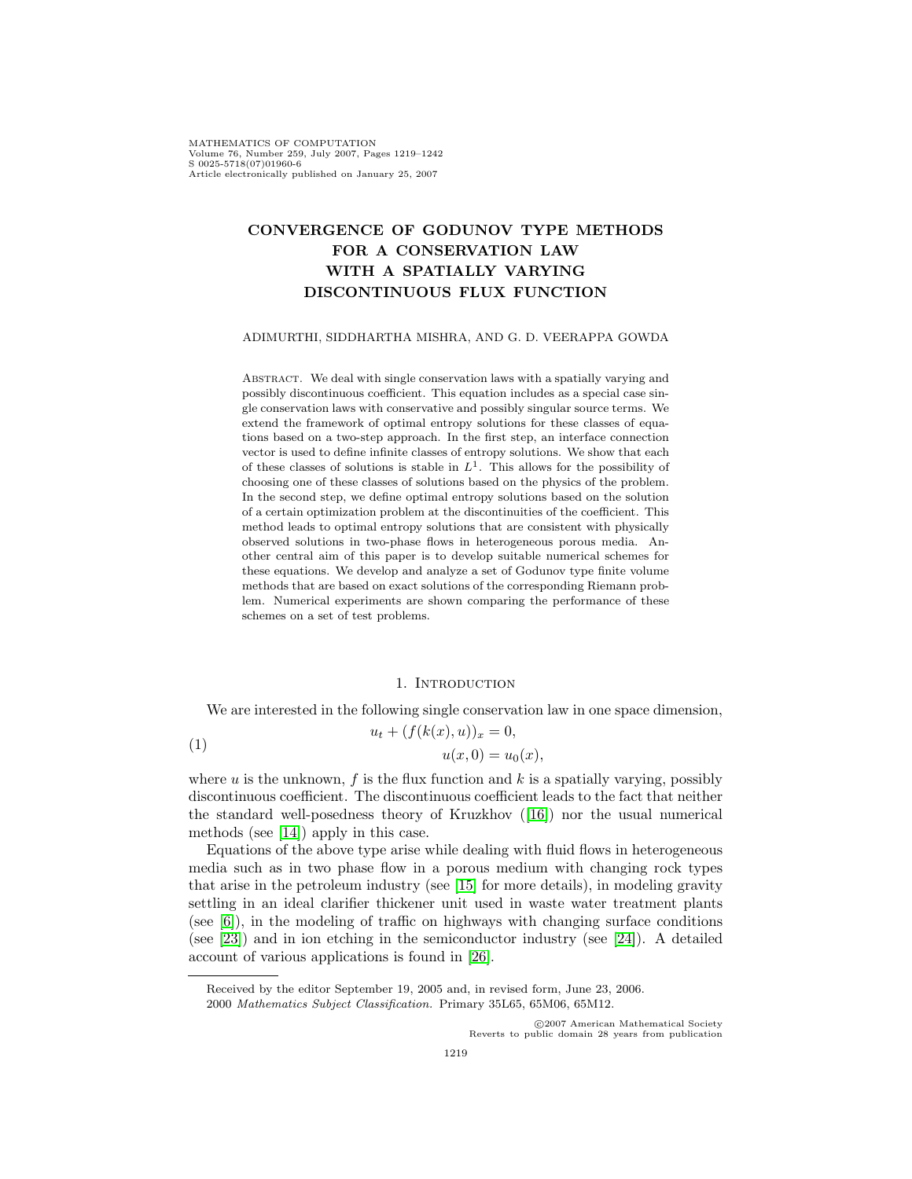MATHEMATICS OF COMPUTATION Volume 76, Number 259, July 2007, Pages 1219–1242 S 0025-5718(07)01960-6 Article electronically published on January 25, 2007

# **CONVERGENCE OF GODUNOV TYPE METHODS FOR A CONSERVATION LAW WITH A SPATIALLY VARYING DISCONTINUOUS FLUX FUNCTION**

## ADIMURTHI, SIDDHARTHA MISHRA, AND G. D. VEERAPPA GOWDA

ABSTRACT. We deal with single conservation laws with a spatially varying and possibly discontinuous coefficient. This equation includes as a special case single conservation laws with conservative and possibly singular source terms. We extend the framework of optimal entropy solutions for these classes of equations based on a two-step approach. In the first step, an interface connection vector is used to define infinite classes of entropy solutions. We show that each of these classes of solutions is stable in  $L<sup>1</sup>$ . This allows for the possibility of choosing one of these classes of solutions based on the physics of the problem. In the second step, we define optimal entropy solutions based on the solution of a certain optimization problem at the discontinuities of the coefficient. This method leads to optimal entropy solutions that are consistent with physically observed solutions in two-phase flows in heterogeneous porous media. Another central aim of this paper is to develop suitable numerical schemes for these equations. We develop and analyze a set of Godunov type finite volume methods that are based on exact solutions of the corresponding Riemann problem. Numerical experiments are shown comparing the performance of these schemes on a set of test problems.

#### <span id="page-0-0"></span>1. INTRODUCTION

We are interested in the following single conservation law in one space dimension,

(1) 
$$
u_t + (f(k(x), u))_x = 0,
$$

$$
u(x, 0) = u_0(x),
$$

where  $u$  is the unknown,  $f$  is the flux function and  $k$  is a spatially varying, possibly discontinuous coefficient. The discontinuous coefficient leads to the fact that neither the standard well-posedness theory of Kruzkhov ([\[16\]](#page-23-0)) nor the usual numerical methods (see [\[14\]](#page-22-0)) apply in this case.

Equations of the above type arise while dealing with fluid flows in heterogeneous media such as in two phase flow in a porous medium with changing rock types that arise in the petroleum industry (see [\[15\]](#page-22-1) for more details), in modeling gravity settling in an ideal clarifier thickener unit used in waste water treatment plants (see [\[6\]](#page-22-2)), in the modeling of traffic on highways with changing surface conditions (see [\[23\]](#page-23-1)) and in ion etching in the semiconductor industry (see [\[24\]](#page-23-2)). A detailed account of various applications is found in [\[26\]](#page-23-3).

c 2007 American Mathematical Society Reverts to public domain 28 years from publication

Received by the editor September 19, 2005 and, in revised form, June 23, 2006. 2000 Mathematics Subject Classification. Primary 35L65, 65M06, 65M12.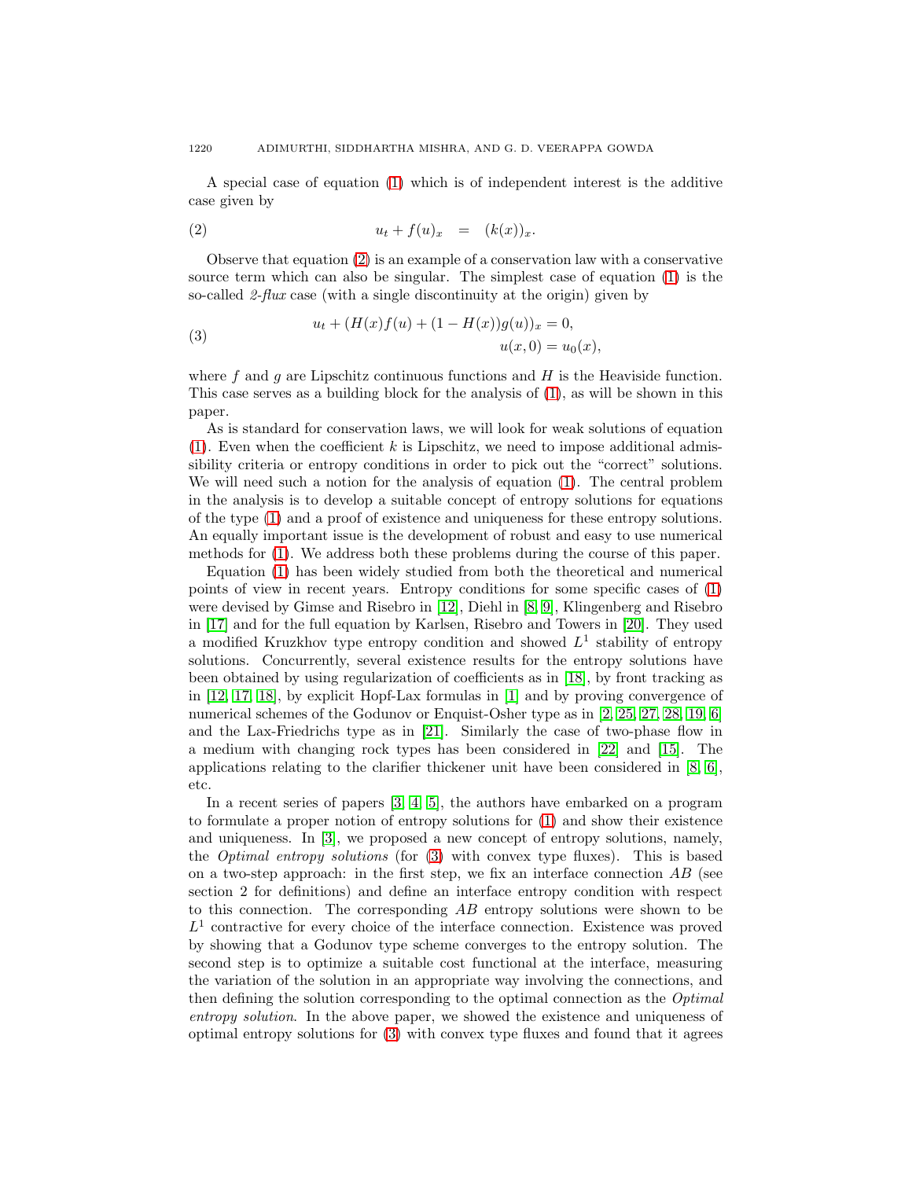A special case of equation [\(1\)](#page-0-0) which is of independent interest is the additive case given by

<span id="page-1-0"></span>
$$
(2) \t\t u_t + f(u)_x = (k(x))_x.
$$

Observe that equation [\(2\)](#page-1-0) is an example of a conservation law with a conservative source term which can also be singular. The simplest case of equation [\(1\)](#page-0-0) is the so-called 2-flux case (with a single discontinuity at the origin) given by

<span id="page-1-1"></span>(3) 
$$
u_t + (H(x)f(u) + (1 - H(x))g(u))_x = 0,
$$

$$
u(x, 0) = u_0(x),
$$

where f and g are Lipschitz continuous functions and  $H$  is the Heaviside function. This case serves as a building block for the analysis of [\(1\)](#page-0-0), as will be shown in this paper.

As is standard for conservation laws, we will look for weak solutions of equation  $(1)$ . Even when the coefficient k is Lipschitz, we need to impose additional admissibility criteria or entropy conditions in order to pick out the "correct" solutions. We will need such a notion for the analysis of equation  $(1)$ . The central problem in the analysis is to develop a suitable concept of entropy solutions for equations of the type [\(1\)](#page-0-0) and a proof of existence and uniqueness for these entropy solutions. An equally important issue is the development of robust and easy to use numerical methods for [\(1\)](#page-0-0). We address both these problems during the course of this paper.

Equation [\(1\)](#page-0-0) has been widely studied from both the theoretical and numerical points of view in recent years. Entropy conditions for some specific cases of [\(1\)](#page-0-0) were devised by Gimse and Risebro in [\[12\]](#page-22-3), Diehl in [\[8,](#page-22-4) [9\]](#page-22-5), Klingenberg and Risebro in [\[17\]](#page-23-4) and for the full equation by Karlsen, Risebro and Towers in [\[20\]](#page-23-5). They used a modified Kruzkhov type entropy condition and showed  $L<sup>1</sup>$  stability of entropy solutions. Concurrently, several existence results for the entropy solutions have been obtained by using regularization of coefficients as in [\[18\]](#page-23-6), by front tracking as in [\[12,](#page-22-3) [17,](#page-23-4) [18\]](#page-23-6), by explicit Hopf-Lax formulas in [\[1\]](#page-22-6) and by proving convergence of numerical schemes of the Godunov or Enquist-Osher type as in [\[2,](#page-22-7) [25,](#page-23-7) [27,](#page-23-8) [28,](#page-23-9) [19,](#page-23-10) [6\]](#page-22-2) and the Lax-Friedrichs type as in [\[21\]](#page-23-11). Similarly the case of two-phase flow in a medium with changing rock types has been considered in [\[22\]](#page-23-12) and [\[15\]](#page-22-1). The applications relating to the clarifier thickener unit have been considered in [\[8,](#page-22-4) [6\]](#page-22-2), etc.

In a recent series of papers [\[3,](#page-22-8) [4,](#page-22-9) [5\]](#page-22-10), the authors have embarked on a program to formulate a proper notion of entropy solutions for [\(1\)](#page-0-0) and show their existence and uniqueness. In [\[3\]](#page-22-8), we proposed a new concept of entropy solutions, namely, the Optimal entropy solutions (for [\(3\)](#page-1-1) with convex type fluxes). This is based on a two-step approach: in the first step, we fix an interface connection  $AB$  (see section 2 for definitions) and define an interface entropy condition with respect to this connection. The corresponding  $AB$  entropy solutions were shown to be  $L<sup>1</sup>$  contractive for every choice of the interface connection. Existence was proved by showing that a Godunov type scheme converges to the entropy solution. The second step is to optimize a suitable cost functional at the interface, measuring the variation of the solution in an appropriate way involving the connections, and then defining the solution corresponding to the optimal connection as the *Optimal* entropy solution. In the above paper, we showed the existence and uniqueness of optimal entropy solutions for [\(3\)](#page-1-1) with convex type fluxes and found that it agrees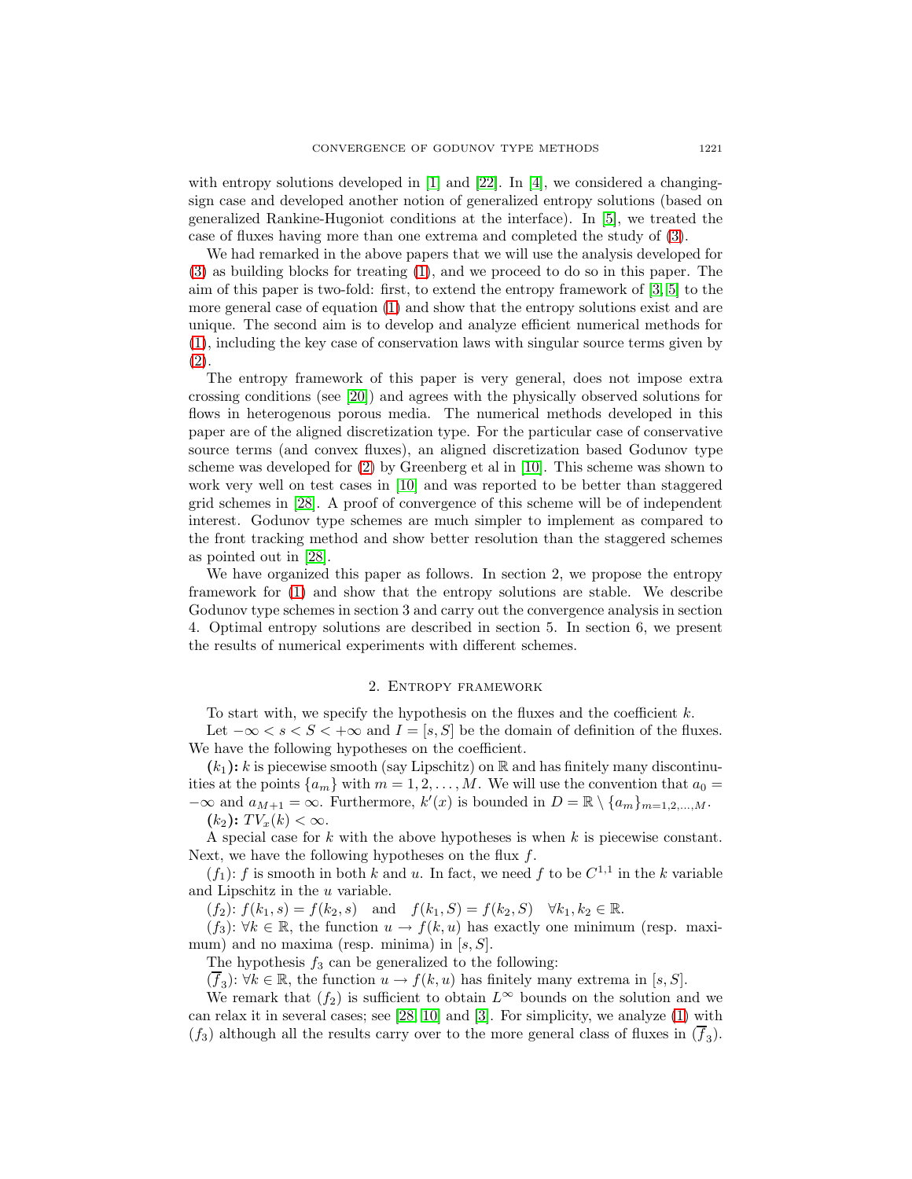with entropy solutions developed in  $[1]$  and  $[22]$ . In  $[4]$ , we considered a changingsign case and developed another notion of generalized entropy solutions (based on generalized Rankine-Hugoniot conditions at the interface). In [\[5\]](#page-22-10), we treated the case of fluxes having more than one extrema and completed the study of [\(3\)](#page-1-1).

We had remarked in the above papers that we will use the analysis developed for [\(3\)](#page-1-1) as building blocks for treating [\(1\)](#page-0-0), and we proceed to do so in this paper. The aim of this paper is two-fold: first, to extend the entropy framework of [\[3,](#page-22-8) [5\]](#page-22-10) to the more general case of equation [\(1\)](#page-0-0) and show that the entropy solutions exist and are unique. The second aim is to develop and analyze efficient numerical methods for [\(1\)](#page-0-0), including the key case of conservation laws with singular source terms given by [\(2\)](#page-1-0).

The entropy framework of this paper is very general, does not impose extra crossing conditions (see [\[20\]](#page-23-5)) and agrees with the physically observed solutions for flows in heterogenous porous media. The numerical methods developed in this paper are of the aligned discretization type. For the particular case of conservative source terms (and convex fluxes), an aligned discretization based Godunov type scheme was developed for [\(2\)](#page-1-0) by Greenberg et al in [\[10\]](#page-22-11). This scheme was shown to work very well on test cases in [\[10\]](#page-22-11) and was reported to be better than staggered grid schemes in [\[28\]](#page-23-9). A proof of convergence of this scheme will be of independent interest. Godunov type schemes are much simpler to implement as compared to the front tracking method and show better resolution than the staggered schemes as pointed out in [\[28\]](#page-23-9).

We have organized this paper as follows. In section 2, we propose the entropy framework for [\(1\)](#page-0-0) and show that the entropy solutions are stable. We describe Godunov type schemes in section 3 and carry out the convergence analysis in section 4. Optimal entropy solutions are described in section 5. In section 6, we present the results of numerical experiments with different schemes.

# 2. Entropy framework

To start with, we specify the hypothesis on the fluxes and the coefficient  $k$ .

Let  $-\infty < s < S < +\infty$  and  $I = [s, S]$  be the domain of definition of the fluxes. We have the following hypotheses on the coefficient.

 $(k_1):$  k is piecewise smooth (say Lipschitz) on R and has finitely many discontinuities at the points  $\{a_m\}$  with  $m = 1, 2, \ldots, M$ . We will use the convention that  $a_0 =$  $-\infty$  and  $a_{M+1} = \infty$ . Furthermore,  $k'(x)$  is bounded in  $D = \mathbb{R} \setminus \{a_m\}_{m=1,2,\ldots,M}$ .

 $(k_2)$ :  $TV_x(k) < \infty$ .

A special case for k with the above hypotheses is when  $k$  is piecewise constant. Next, we have the following hypotheses on the flux  $f$ .

 $(f_1)$ : f is smooth in both k and u. In fact, we need f to be  $C^{1,1}$  in the k variable and Lipschitz in the u variable.

 $(f_2)$ :  $f(k_1, s) = f(k_2, s)$  and  $f(k_1, S) = f(k_2, S)$   $\forall k_1, k_2 \in \mathbb{R}$ .

 $(f_3)$ :  $\forall k \in \mathbb{R}$ , the function  $u \to f(k, u)$  has exactly one minimum (resp. maximum) and no maxima (resp. minima) in  $[s, S]$ .

The hypothesis  $f_3$  can be generalized to the following:

 $(f_3)$ :  $\forall k \in \mathbb{R}$ , the function  $u \to f(k, u)$  has finitely many extrema in [s, S].

We remark that  $(f_2)$  is sufficient to obtain  $L^{\infty}$  bounds on the solution and we can relax it in several cases; see [\[28,](#page-23-9) [10\]](#page-22-11) and [\[3\]](#page-22-8). For simplicity, we analyze [\(1\)](#page-0-0) with  $(f_3)$  although all the results carry over to the more general class of fluxes in  $(\overline{f}_3)$ .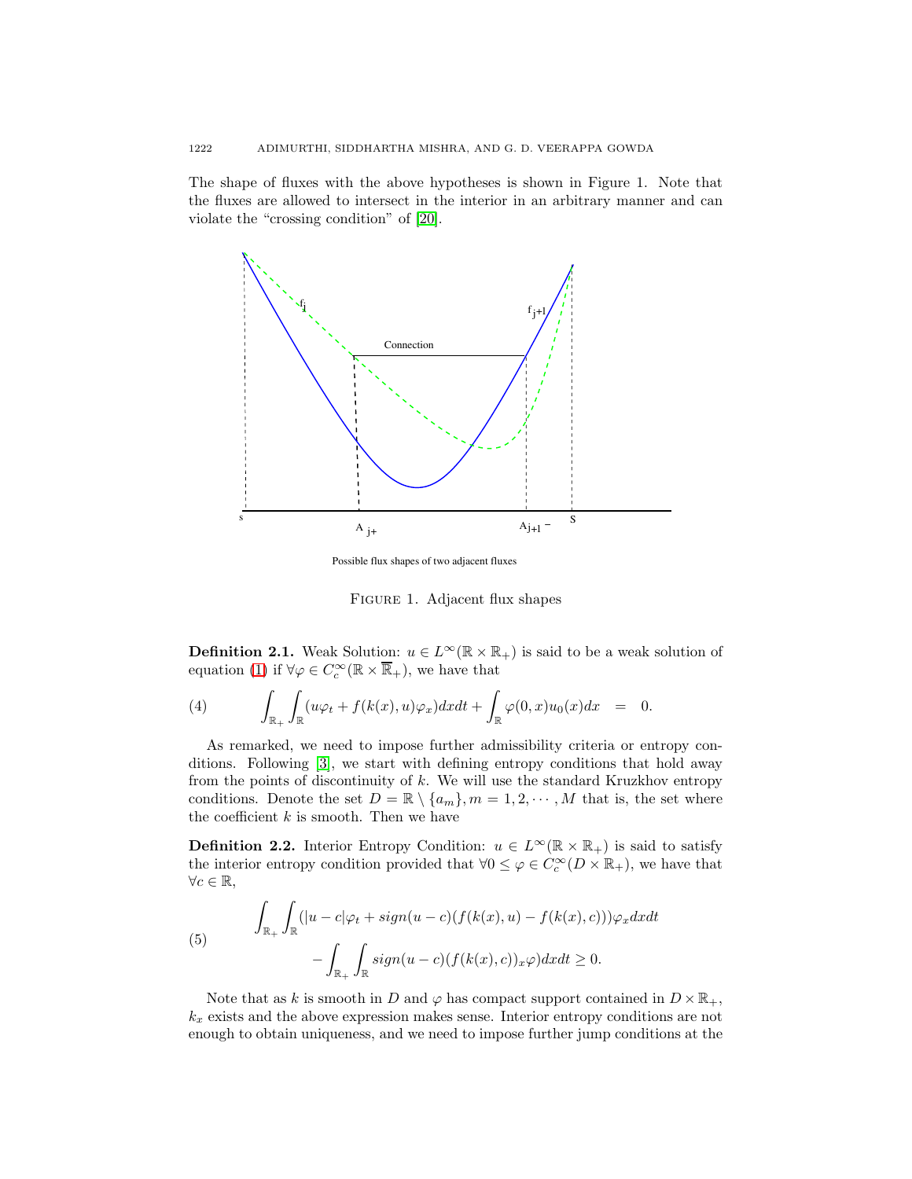The shape of fluxes with the above hypotheses is shown in Figure 1. Note that the fluxes are allowed to intersect in the interior in an arbitrary manner and can violate the "crossing condition" of [\[20\]](#page-23-5).



Possible flux shapes of two adjacent fluxes

Figure 1. Adjacent flux shapes

**Definition 2.1.** Weak Solution:  $u \in L^{\infty}(\mathbb{R} \times \mathbb{R}_{+})$  is said to be a weak solution of equation [\(1\)](#page-0-0) if  $\forall \varphi \in C_c^{\infty}(\mathbb{R} \times \overline{\mathbb{R}}_+)$ , we have that

<span id="page-3-0"></span>(4) 
$$
\int_{\mathbb{R}_+} \int_{\mathbb{R}} (u \varphi_t + f(k(x), u) \varphi_x) dx dt + \int_{\mathbb{R}} \varphi(0, x) u_0(x) dx = 0.
$$

As remarked, we need to impose further admissibility criteria or entropy conditions. Following [\[3\]](#page-22-8), we start with defining entropy conditions that hold away from the points of discontinuity of  $k$ . We will use the standard Kruzkhov entropy conditions. Denote the set  $D = \mathbb{R} \setminus \{a_m\}, m = 1, 2, \cdots, M$  that is, the set where the coefficient  $k$  is smooth. Then we have

**Definition 2.2.** Interior Entropy Condition:  $u \in L^{\infty}(\mathbb{R} \times \mathbb{R}_{+})$  is said to satisfy the interior entropy condition provided that  $\forall 0 \leq \varphi \in C_c^{\infty}(D \times \mathbb{R}_+)$ , we have that  $\forall c \in \mathbb{R},$ 

<span id="page-3-1"></span>(5) 
$$
\int_{\mathbb{R}_+} \int_{\mathbb{R}} (|u - c| \varphi_t + sign(u - c)(f(k(x), u) - f(k(x), c))) \varphi_x dx dt - \int_{\mathbb{R}_+} \int_{\mathbb{R}} sign(u - c)(f(k(x), c))_x \varphi) dx dt \ge 0.
$$

Note that as k is smooth in D and  $\varphi$  has compact support contained in  $D \times \mathbb{R}_+$ ,  $k_x$  exists and the above expression makes sense. Interior entropy conditions are not enough to obtain uniqueness, and we need to impose further jump conditions at the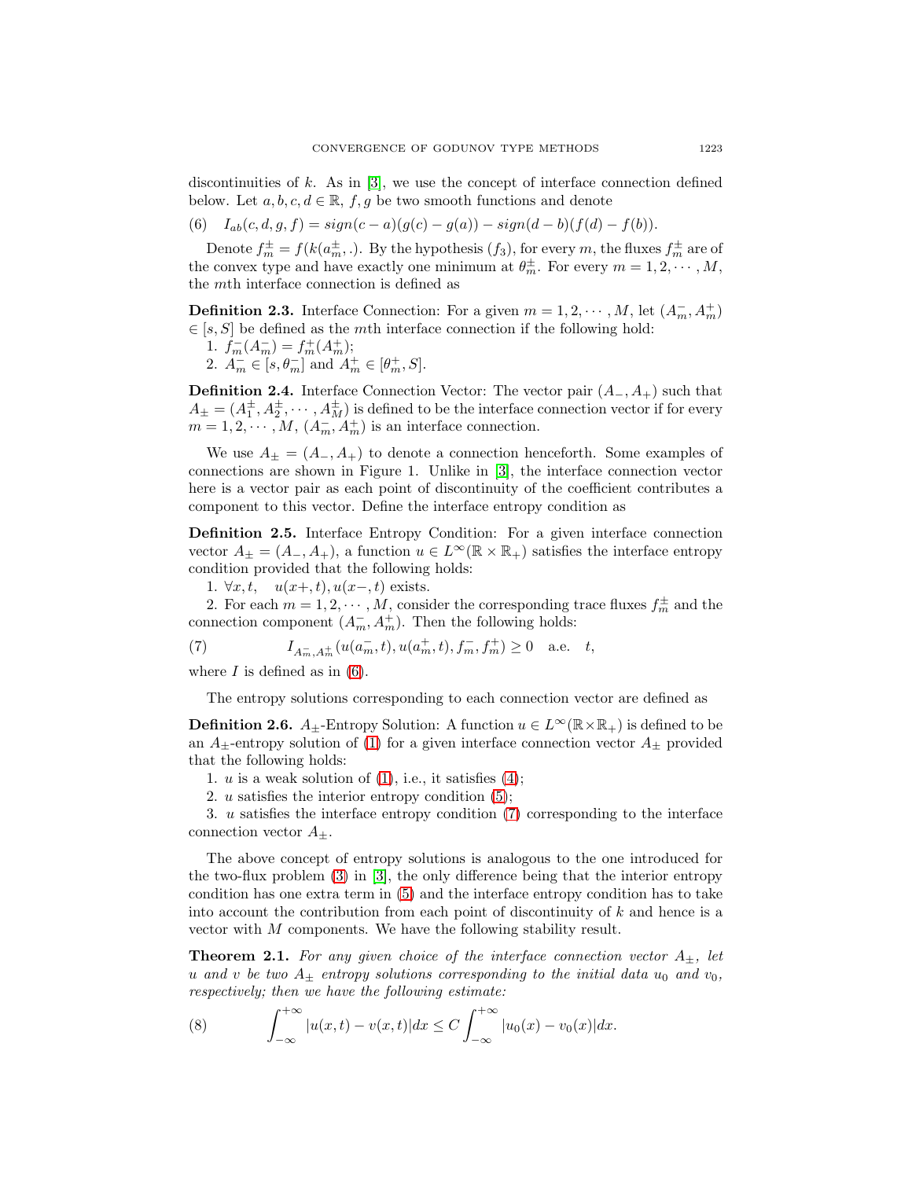discontinuities of  $k$ . As in  $[3]$ , we use the concept of interface connection defined below. Let  $a, b, c, d \in \mathbb{R}$ ,  $f, g$  be two smooth functions and denote

<span id="page-4-0"></span>(6)  $I_{ab}(c, d, q, f) = sign(c - a)(q(c) - q(a)) - sign(d - b)(f(d) - f(b)).$ 

Denote  $f_m^{\pm} = f(k(a_m^{\pm}, .)$ . By the hypothesis  $(f_3)$ , for every m, the fluxes  $f_m^{\pm}$  are of the convex type and have exactly one minimum at  $\theta_m^{\pm}$ . For every  $m = 1, 2, \dots, M$ , the mth interface connection is defined as

**Definition 2.3.** Interface Connection: For a given  $m = 1, 2, \dots, M$ , let  $(A_m^-, A_m^+)$  $\in$  [s, S] be defined as the mth interface connection if the following hold:

- 1.  $f_m^-(A_m^-) = f_m^+(A_m^+);$
- 2.  $A_m^- \in [s, \theta_m^-]$  and  $A_m^+ \in [\theta_m^+, S]$ .

**Definition 2.4.** Interface Connection Vector: The vector pair  $(A_-, A_+)$  such that  $A_{\pm} = (A_1^{\pm}, A_2^{\pm}, \cdots, A_M^{\pm})$  is defined to be the interface connection vector if for every  $m = 1, 2, \cdots, M, (A_m^-, A_m^+)$  is an interface connection.

We use  $A_{+} = (A_{-}, A_{+})$  to denote a connection henceforth. Some examples of connections are shown in Figure 1. Unlike in [\[3\]](#page-22-8), the interface connection vector here is a vector pair as each point of discontinuity of the coefficient contributes a component to this vector. Define the interface entropy condition as

**Definition 2.5.** Interface Entropy Condition: For a given interface connection vector  $A_{\pm} = (A_-, A_+)$ , a function  $u \in L^{\infty}(\mathbb{R} \times \mathbb{R}_+)$  satisfies the interface entropy condition provided that the following holds:

1. ∀x, t,  $u(x+, t)$ ,  $u(x-, t)$  exists.

2. For each  $m = 1, 2, \cdots, M$ , consider the corresponding trace fluxes  $f_m^{\pm}$  and the connection component  $(A_m^-, A_m^+)$ . Then the following holds:

<span id="page-4-1"></span>(7) 
$$
I_{A_m^-,A_m^+}(u(a_m^-,t),u(a_m^+,t),f_m^-,f_m^+) \ge 0 \quad \text{a.e.} \quad t,
$$

where  $I$  is defined as in  $(6)$ .

The entropy solutions corresponding to each connection vector are defined as

**Definition 2.6.**  $A_{\pm}$ -Entropy Solution: A function  $u \in L^{\infty}(\mathbb{R} \times \mathbb{R}_{+})$  is defined to be an  $A_{\pm}$ -entropy solution of [\(1\)](#page-0-0) for a given interface connection vector  $A_{\pm}$  provided that the following holds:

- 1.  $u$  is a weak solution of  $(1)$ , i.e., it satisfies  $(4)$ ;
- 2. u satisfies the interior entropy condition [\(5\)](#page-3-1);

3. u satisfies the interface entropy condition [\(7\)](#page-4-1) corresponding to the interface connection vector  $A_{+}$ .

The above concept of entropy solutions is analogous to the one introduced for the two-flux problem [\(3\)](#page-1-1) in [\[3\]](#page-22-8), the only difference being that the interior entropy condition has one extra term in [\(5\)](#page-3-1) and the interface entropy condition has to take into account the contribution from each point of discontinuity of  $k$  and hence is a vector with M components. We have the following stability result.

**Theorem 2.1.** For any given choice of the interface connection vector  $A_{\pm}$ , let u and v be two  $A_{\pm}$  entropy solutions corresponding to the initial data  $u_0$  and  $v_0$ , respectively; then we have the following estimate:

(8) 
$$
\int_{-\infty}^{+\infty} |u(x,t) - v(x,t)| dx \leq C \int_{-\infty}^{+\infty} |u_0(x) - v_0(x)| dx.
$$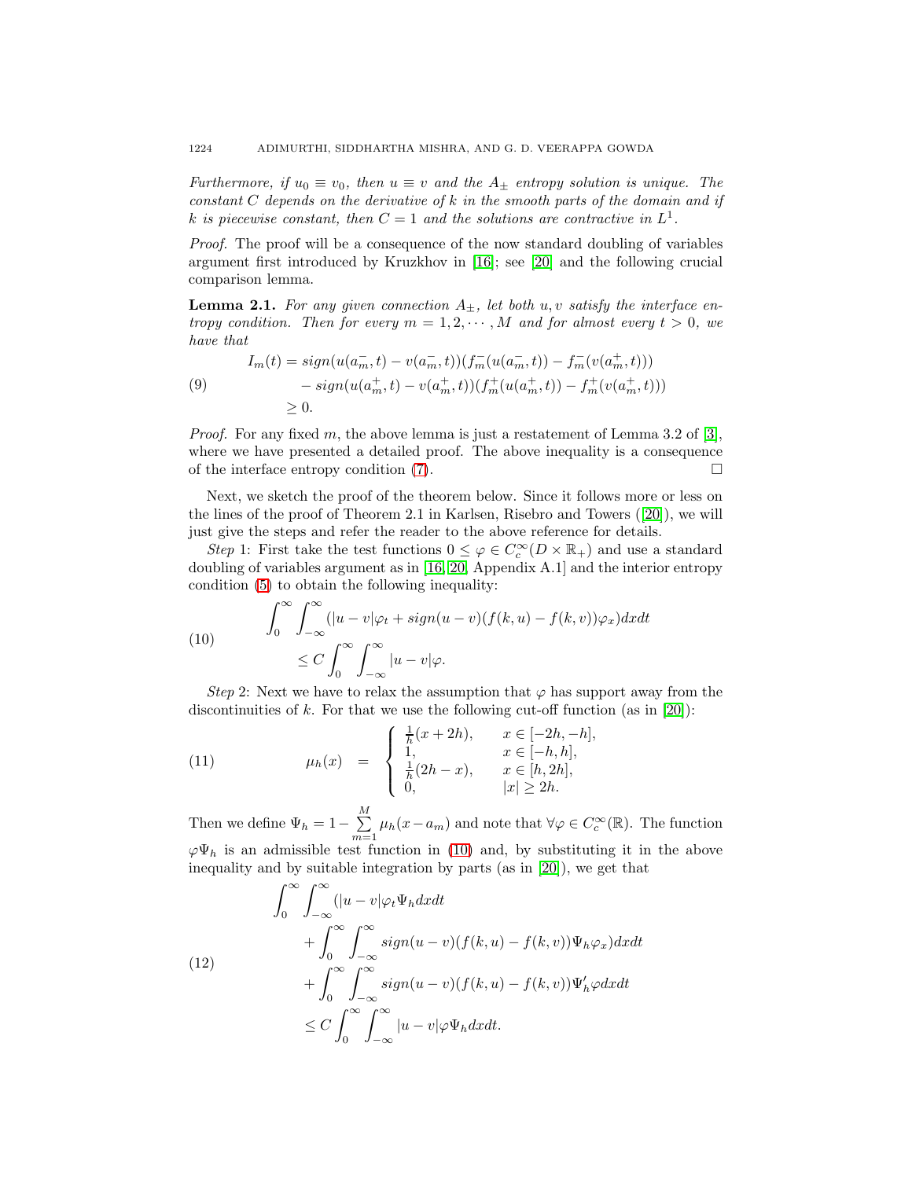Furthermore, if  $u_0 \equiv v_0$ , then  $u \equiv v$  and the  $A_{\pm}$  entropy solution is unique. The constant  $C$  depends on the derivative of k in the smooth parts of the domain and if k is piecewise constant, then  $C = 1$  and the solutions are contractive in  $L<sup>1</sup>$ .

Proof. The proof will be a consequence of the now standard doubling of variables argument first introduced by Kruzkhov in [\[16\]](#page-23-0); see [\[20\]](#page-23-5) and the following crucial comparison lemma.

<span id="page-5-2"></span>**Lemma 2.1.** For any given connection  $A_+$ , let both u, v satisfy the interface entropy condition. Then for every  $m = 1, 2, \cdots, M$  and for almost every  $t > 0$ , we have that

(9) 
$$
I_m(t) = sign(u(a_m^-, t) - v(a_m^-, t))(f_m^-(u(a_m^-, t)) - f_m^-(v(a_m^+, t)))
$$

$$
- sign(u(a_m^+, t) - v(a_m^+, t))(f_m^+(u(a_m^+, t)) - f_m^+(v(a_m^+, t)))
$$

$$
\geq 0.
$$

*Proof.* For any fixed m, the above lemma is just a restatement of Lemma 3.2 of [\[3\]](#page-22-8), where we have presented a detailed proof. The above inequality is a consequence of the interface entropy condition  $(7)$ .

Next, we sketch the proof of the theorem below. Since it follows more or less on the lines of the proof of Theorem 2.1 in Karlsen, Risebro and Towers ([\[20\]](#page-23-5)), we will just give the steps and refer the reader to the above reference for details.

Step 1: First take the test functions  $0 \leq \varphi \in C_c^{\infty}(D \times \mathbb{R}_+)$  and use a standard doubling of variables argument as in [\[16,](#page-23-0) [20,](#page-23-5) Appendix A.1] and the interior entropy condition [\(5\)](#page-3-1) to obtain the following inequality:

<span id="page-5-0"></span>(10) 
$$
\int_0^\infty \int_{-\infty}^\infty (|u - v|\varphi_t + sign(u - v)(f(k, u) - f(k, v))\varphi_x) dx dt
$$

$$
\leq C \int_0^\infty \int_{-\infty}^\infty |u - v|\varphi.
$$

Step 2: Next we have to relax the assumption that  $\varphi$  has support away from the discontinuities of k. For that we use the following cut-off function (as in  $[20]$ ):

(11) 
$$
\mu_h(x) = \begin{cases} \frac{1}{h}(x+2h), & x \in [-2h, -h], \\ 1, & x \in [-h, h], \\ \frac{1}{h}(2h-x), & x \in [h, 2h], \\ 0, & |x| \ge 2h. \end{cases}
$$

Then we define  $\Psi_h = 1 - \sum_{n=1}^{M}$  $\sum_{m=1}^{\infty} \mu_h(x-a_m)$  and note that  $\forall \varphi \in C_c^{\infty}(\mathbb{R})$ . The function  $\varphi\Psi_h$  is an admissible test function in [\(10\)](#page-5-0) and, by substituting it in the above inequality and by suitable integration by parts (as in [\[20\]](#page-23-5)), we get that

<span id="page-5-1"></span>(12)  
\n
$$
\int_0^\infty \int_{-\infty}^\infty (|u - v| \varphi_t \Psi_h dx dt + \int_0^\infty \int_{-\infty}^\infty sign(u - v)(f(k, u) - f(k, v)) \Psi_h \varphi_x) dx dt + \int_0^\infty \int_{-\infty}^\infty sign(u - v)(f(k, u) - f(k, v)) \Psi'_h \varphi dx dt
$$
\n
$$
\leq C \int_0^\infty \int_{-\infty}^\infty |u - v| \varphi \Psi_h dx dt.
$$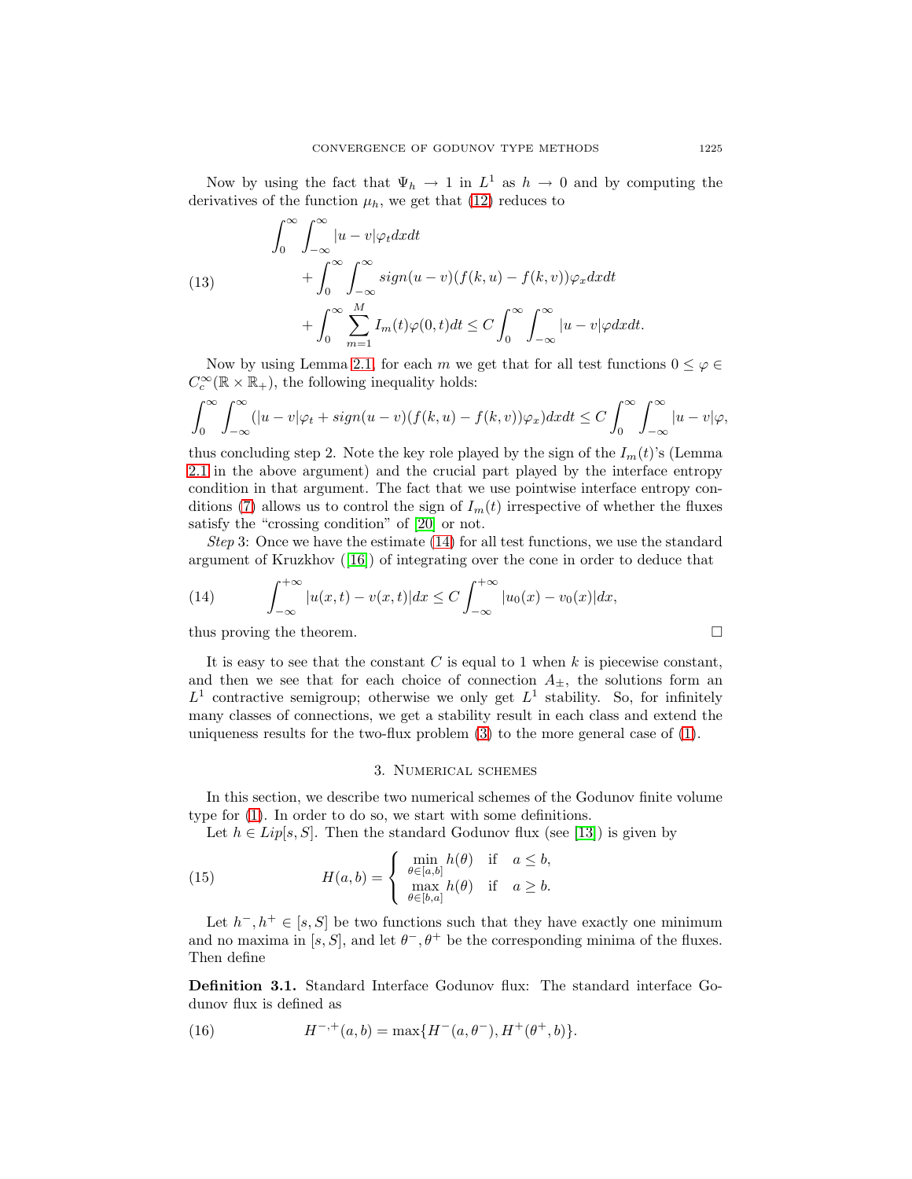Now by using the fact that  $\Psi_h \to 1$  in  $L^1$  as  $h \to 0$  and by computing the derivatives of the function  $\mu_h$ , we get that [\(12\)](#page-5-1) reduces to

(13)  
\n
$$
\int_0^\infty \int_{-\infty}^\infty |u - v| \varphi_t dx dt
$$
\n
$$
+ \int_0^\infty \int_{-\infty}^\infty sign(u - v)(f(k, u) - f(k, v)) \varphi_x dx dt
$$
\n
$$
+ \int_0^\infty \sum_{m=1}^M I_m(t) \varphi(0, t) dt \le C \int_0^\infty \int_{-\infty}^\infty |u - v| \varphi dx dt.
$$

Now by using Lemma [2.1,](#page-5-2) for each m we get that for all test functions  $0 \leq \varphi \in$  $C_c^{\infty}(\mathbb{R} \times \mathbb{R}_+),$  the following inequality holds:

<span id="page-6-0"></span>
$$
\int_0^\infty \int_{-\infty}^\infty (|u-v|\varphi_t + sign(u-v)(f(k,u) - f(k,v))\varphi_x) dx dt \le C \int_0^\infty \int_{-\infty}^\infty |u-v|\varphi,
$$

thus concluding step 2. Note the key role played by the sign of the  $I_m(t)$ 's (Lemma [2.1](#page-5-2) in the above argument) and the crucial part played by the interface entropy condition in that argument. The fact that we use pointwise interface entropy con-ditions [\(7\)](#page-4-1) allows us to control the sign of  $I_m(t)$  irrespective of whether the fluxes satisfy the "crossing condition" of [\[20\]](#page-23-5) or not.

Step 3: Once we have the estimate [\(14\)](#page-6-0) for all test functions, we use the standard argument of Kruzkhov ([\[16\]](#page-23-0)) of integrating over the cone in order to deduce that

(14) 
$$
\int_{-\infty}^{+\infty} |u(x,t) - v(x,t)| dx \le C \int_{-\infty}^{+\infty} |u_0(x) - v_0(x)| dx,
$$
 thus proving the theorem.

It is easy to see that the constant  $C$  is equal to 1 when  $k$  is piecewise constant, and then we see that for each choice of connection  $A_{\pm}$ , the solutions form an  $L^1$  contractive semigroup; otherwise we only get  $L^1$  stability. So, for infinitely many classes of connections, we get a stability result in each class and extend the uniqueness results for the two-flux problem [\(3\)](#page-1-1) to the more general case of [\(1\)](#page-0-0).

# 3. Numerical schemes

In this section, we describe two numerical schemes of the Godunov finite volume type for [\(1\)](#page-0-0). In order to do so, we start with some definitions.

Let  $h \in Lip[s, S]$ . Then the standard Godunov flux (see [\[13\]](#page-22-12)) is given by

(15) 
$$
H(a,b) = \begin{cases} \min_{\theta \in [a,b]} h(\theta) & \text{if } a \leq b, \\ \max_{\theta \in [b,a]} h(\theta) & \text{if } a \geq b. \end{cases}
$$

Let  $h^-, h^+ \in [s, S]$  be two functions such that they have exactly one minimum and no maxima in [s, S], and let  $\theta^{-}$ ,  $\theta^{+}$  be the corresponding minima of the fluxes. Then define

**Definition 3.1.** Standard Interface Godunov flux: The standard interface Godunov flux is defined as

<span id="page-6-1"></span>(16) 
$$
H^{-,+}(a,b) = \max\{H^-(a,\theta^-), H^+(\theta^+,b)\}.
$$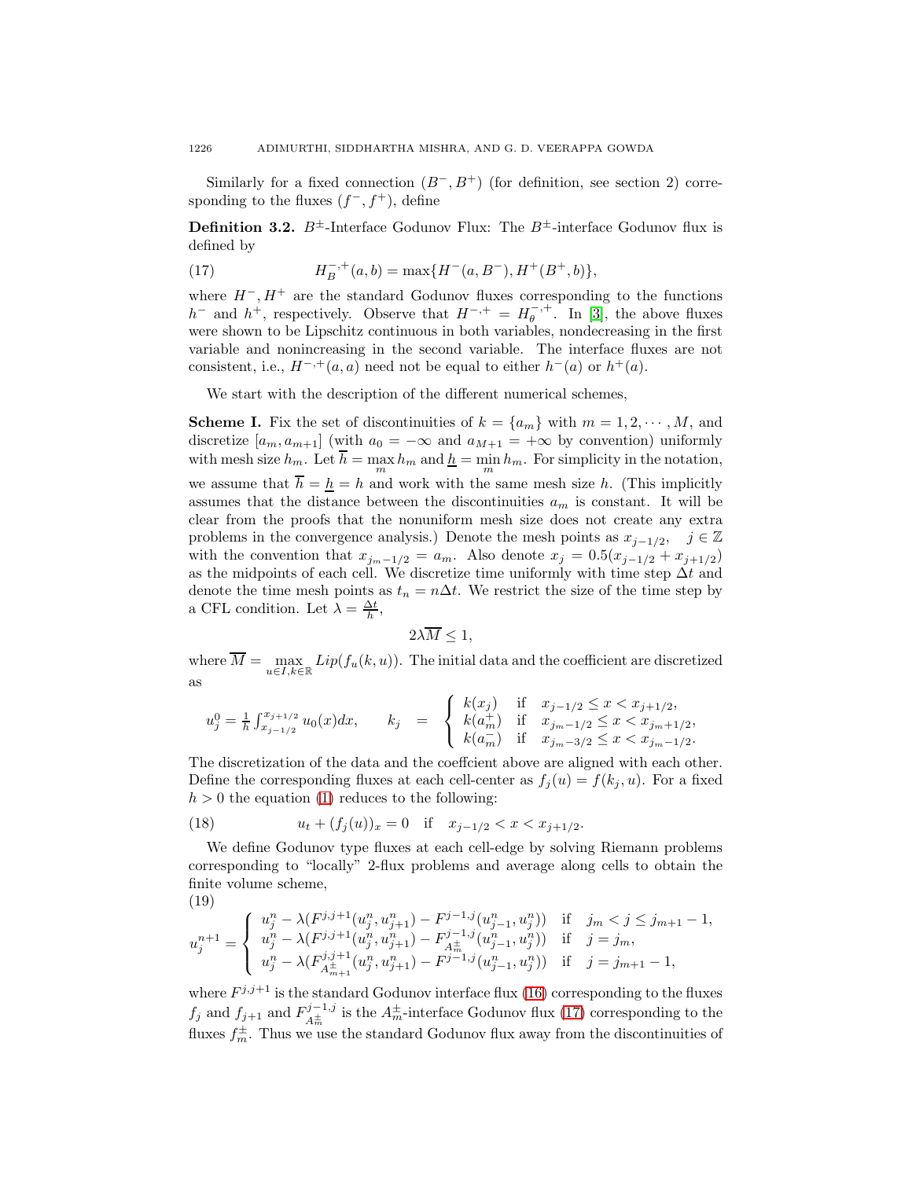Similarly for a fixed connection  $(B^-, B^+)$  (for definition, see section 2) corresponding to the fluxes  $(f^-, f^+)$ , define

<span id="page-7-0"></span>**Definition 3.2.**  $B^{\pm}$ -Interface Godunov Flux: The  $B^{\pm}$ -interface Godunov flux is defined by

(17) 
$$
H_B^{-, +}(a, b) = \max\{H^-(a, B^-), H^+(B^+, b)\},\
$$

where  $H^-, H^+$  are the standard Godunov fluxes corresponding to the functions  $h^-$  and  $h^+$ , respectively. Observe that  $H^{-, +} = H^{-, +}_\theta$ . In [\[3\]](#page-22-8), the above fluxes were shown to be Lipschitz continuous in both variables, nondecreasing in the first variable and nonincreasing in the second variable. The interface fluxes are not consistent, i.e.,  $H^{-, +}(a, a)$  need not be equal to either  $h^{-}(a)$  or  $h^{+}(a)$ .

We start with the description of the different numerical schemes,

**Scheme I.** Fix the set of discontinuities of  $k = \{a_m\}$  with  $m = 1, 2, \dots, M$ , and discretize  $[a_m, a_{m+1}]$  (with  $a_0 = -\infty$  and  $a_{M+1} = +\infty$  by convention) uniformly with mesh size  $h_m$ . Let  $\overline{h} = \max_m h_m$  and  $\underline{h} = \min_m h_m$ . For simplicity in the notation, we assume that  $\overline{h} = h = h$  and work with the same mesh size h. (This implicitly assumes that the distance between the discontinuities  $a_m$  is constant. It will be clear from the proofs that the nonuniform mesh size does not create any extra problems in the convergence analysis.) Denote the mesh points as  $x_{j-1/2}$ ,  $j \in \mathbb{Z}$ with the convention that  $x_{j_m-1/2} = a_m$ . Also denote  $x_j = 0.5(x_{j-1/2} + x_{j+1/2})$ as the midpoints of each cell. We discretize time uniformly with time step  $\Delta t$  and denote the time mesh points as  $t_n = n\Delta t$ . We restrict the size of the time step by a CFL condition. Let  $\lambda = \frac{\Delta t}{h}$ ,

$$
2\lambda \overline{M} \le 1,
$$

where  $\overline{M} = \max_{u \in I, k \in \mathbb{R}} Lip(f_u(k, u))$ . The initial data and the coefficient are discretized as

$$
u_j^0 = \frac{1}{h} \int_{x_{j-1/2}}^{x_{j+1/2}} u_0(x) dx, \qquad k_j = \begin{cases} k(x_j) & \text{if } x_{j-1/2} \le x < x_{j+1/2}, \\ k(a_m^+) & \text{if } x_{j_m-1/2} \le x < x_{j_m+1/2}, \\ k(a_m^-) & \text{if } x_{j_m-3/2} \le x < x_{j_m-1/2}. \end{cases}
$$

The discretization of the data and the coeffcient above are aligned with each other. Define the corresponding fluxes at each cell-center as  $f_i(u) = f(k_i, u)$ . For a fixed  $h > 0$  the equation [\(1\)](#page-0-0) reduces to the following:

(18) 
$$
u_t + (f_j(u))_x = 0 \quad \text{if} \quad x_{j-1/2} < x < x_{j+1/2}.
$$

We define Godunov type fluxes at each cell-edge by solving Riemann problems corresponding to "locally" 2-flux problems and average along cells to obtain the finite volume scheme,

<span id="page-7-1"></span>
$$
(19)
$$

$$
u_j^{n+1} = \begin{cases} u_j^n - \lambda (F^{j,j+1}(u_j^n, u_{j+1}^n) - F^{j-1,j}(u_{j-1}^n, u_j^n)) & \text{if} \quad j_m < j \le j_{m+1} - 1, \\ u_j^n - \lambda (F^{j,j+1}(u_j^n, u_{j+1}^n) - F^{j-1,j}(u_{j-1}^n, u_j^n)) & \text{if} \quad j = j_m, \\ u_j^n - \lambda (F^{j,j+1}(u_j^n, u_{j+1}^n) - F^{j-1,j}(u_{j-1}^n, u_j^n)) & \text{if} \quad j = j_{m+1} - 1, \end{cases}
$$

where  $F^{j,j+1}$  is the standard Godunov interface flux [\(16\)](#page-6-1) corresponding to the fluxes  $f_j$  and  $f_{j+1}$  and  $F_{A_m^{\pm}}^{j-1,j}$  is the  $A_m^{\pm}$ -interface Godunov flux [\(17\)](#page-7-0) corresponding to the fluxes  $f_m^{\pm}$ . Thus we use the standard Godunov flux away from the discontinuities of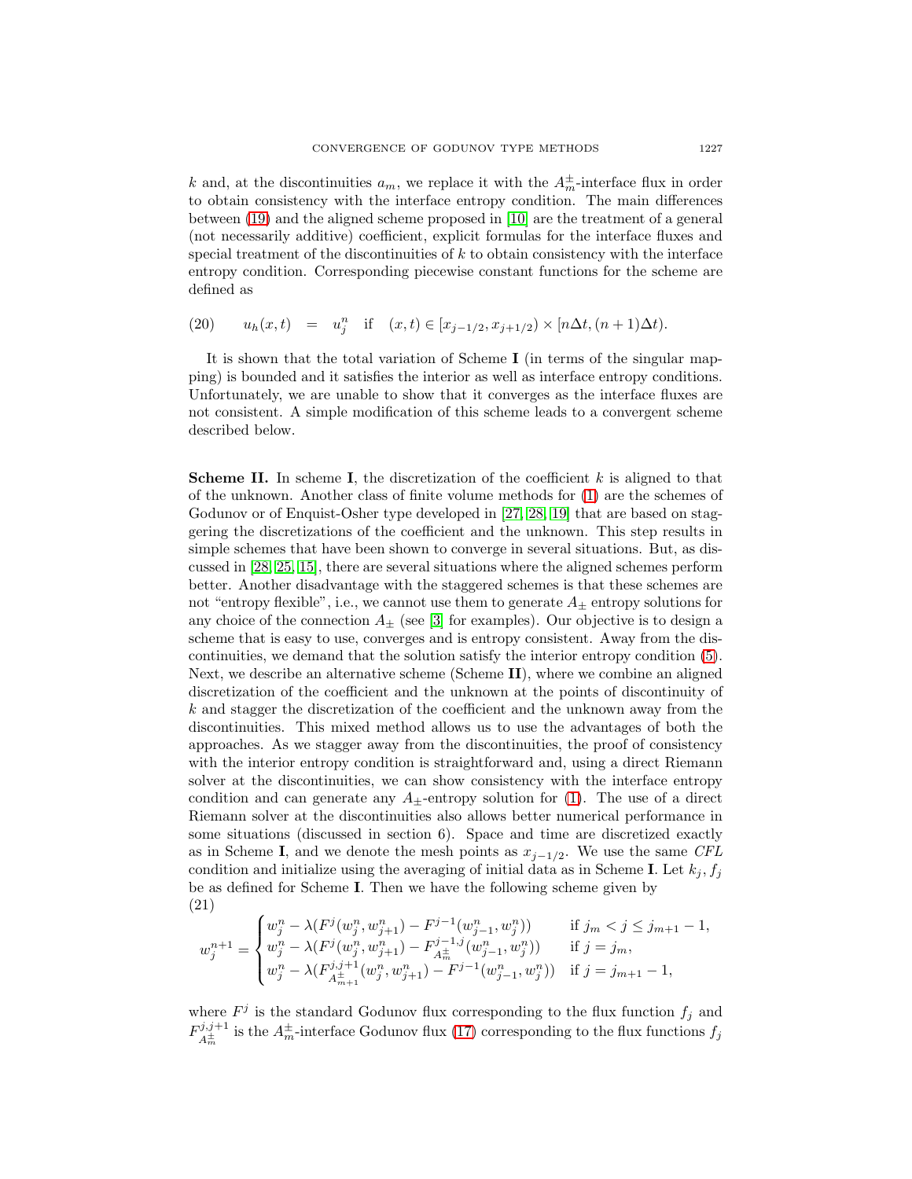k and, at the discontinuities  $a_m$ , we replace it with the  $A_m^{\pm}$ -interface flux in order to obtain consistency with the interface entropy condition. The main differences between [\(19\)](#page-7-1) and the aligned scheme proposed in [\[10\]](#page-22-11) are the treatment of a general (not necessarily additive) coefficient, explicit formulas for the interface fluxes and special treatment of the discontinuities of  $k$  to obtain consistency with the interface entropy condition. Corresponding piecewise constant functions for the scheme are defined as

<span id="page-8-1"></span>(20) 
$$
u_h(x,t) = u_j^n
$$
 if  $(x,t) \in [x_{j-1/2}, x_{j+1/2}) \times [n\Delta t, (n+1)\Delta t).$ 

It is shown that the total variation of Scheme **I** (in terms of the singular mapping) is bounded and it satisfies the interior as well as interface entropy conditions. Unfortunately, we are unable to show that it converges as the interface fluxes are not consistent. A simple modification of this scheme leads to a convergent scheme described below.

**Scheme II.** In scheme **I**, the discretization of the coefficient k is aligned to that of the unknown. Another class of finite volume methods for [\(1\)](#page-0-0) are the schemes of Godunov or of Enquist-Osher type developed in [\[27,](#page-23-8) [28,](#page-23-9) [19\]](#page-23-10) that are based on staggering the discretizations of the coefficient and the unknown. This step results in simple schemes that have been shown to converge in several situations. But, as discussed in [\[28,](#page-23-9) [25,](#page-23-7) [15\]](#page-22-1), there are several situations where the aligned schemes perform better. Another disadvantage with the staggered schemes is that these schemes are not "entropy flexible", i.e., we cannot use them to generate  $A_{\pm}$  entropy solutions for any choice of the connection  $A_{\pm}$  (see [\[3\]](#page-22-8) for examples). Our objective is to design a scheme that is easy to use, converges and is entropy consistent. Away from the discontinuities, we demand that the solution satisfy the interior entropy condition [\(5\)](#page-3-1). Next, we describe an alternative scheme (Scheme **II**), where we combine an aligned discretization of the coefficient and the unknown at the points of discontinuity of  $k$  and stagger the discretization of the coefficient and the unknown away from the discontinuities. This mixed method allows us to use the advantages of both the approaches. As we stagger away from the discontinuities, the proof of consistency with the interior entropy condition is straightforward and, using a direct Riemann solver at the discontinuities, we can show consistency with the interface entropy condition and can generate any  $A_{\pm}$ -entropy solution for [\(1\)](#page-0-0). The use of a direct Riemann solver at the discontinuities also allows better numerical performance in some situations (discussed in section 6). Space and time are discretized exactly as in Scheme **I**, and we denote the mesh points as  $x_{j-1/2}$ . We use the same CFL condition and initialize using the averaging of initial data as in Scheme **I**. Let  $k_j$ ,  $f_j$ be as defined for Scheme **I**. Then we have the following scheme given by (21)

<span id="page-8-0"></span>
$$
w_j^{n+1} = \begin{cases} w_j^n - \lambda(F^j(w_j^n, w_{j+1}^n) - F^{j-1}(w_{j-1}^n, w_j^n)) & \text{if } j_m < j \le j_{m+1} - 1, \\ w_j^n - \lambda(F^j(w_j^n, w_{j+1}^n) - F^{j-1,j}_{A_m^+}(w_{j-1}^n, w_j^n)) & \text{if } j = j_m, \\ w_j^n - \lambda(F^{j,j+1}_{A_{m+1}^+}(w_j^n, w_{j+1}^n) - F^{j-1}(w_{j-1}^n, w_j^n)) & \text{if } j = j_{m+1} - 1, \end{cases}
$$

where  $F^j$  is the standard Godunov flux corresponding to the flux function  $f_j$  and  $F_{A_{m}^{\pm}}^{j,j+1}$  is the  $A_{m}^{\pm}$ -interface Godunov flux [\(17\)](#page-7-0) corresponding to the flux functions  $f_j$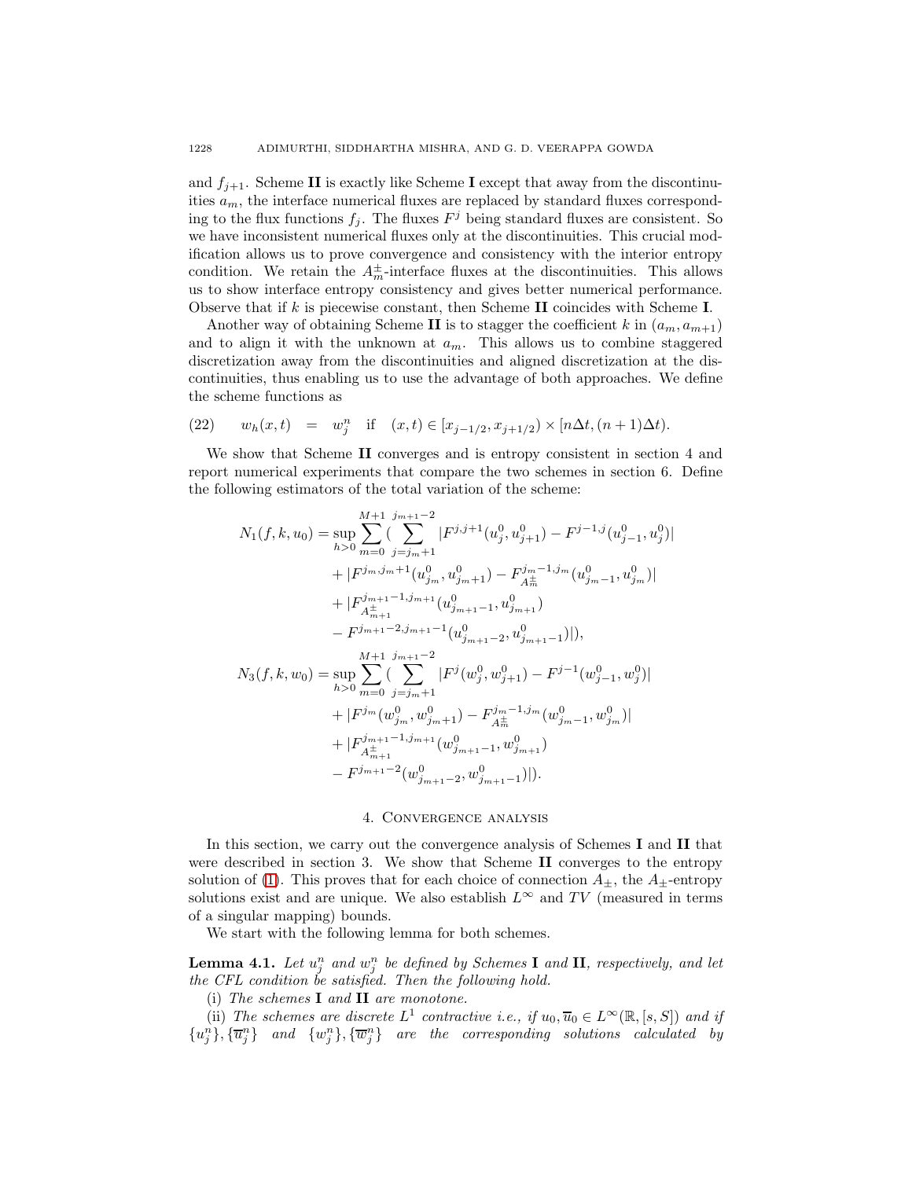and  $f_{i+1}$ . Scheme **II** is exactly like Scheme **I** except that away from the discontinuities  $a_m$ , the interface numerical fluxes are replaced by standard fluxes corresponding to the flux functions  $f_j$ . The fluxes  $F^j$  being standard fluxes are consistent. So we have inconsistent numerical fluxes only at the discontinuities. This crucial modification allows us to prove convergence and consistency with the interior entropy condition. We retain the  $A_m^{\pm}$ -interface fluxes at the discontinuities. This allows us to show interface entropy consistency and gives better numerical performance. Observe that if k is piecewise constant, then Scheme **II** coincides with Scheme **I**.

Another way of obtaining Scheme **II** is to stagger the coefficient k in  $(a_m, a_{m+1})$ and to align it with the unknown at  $a_m$ . This allows us to combine staggered discretization away from the discontinuities and aligned discretization at the discontinuities, thus enabling us to use the advantage of both approaches. We define the scheme functions as

<span id="page-9-0"></span>(22) 
$$
w_h(x,t) = w_j^n
$$
 if  $(x,t) \in [x_{j-1/2}, x_{j+1/2}) \times [n\Delta t, (n+1)\Delta t).$ 

We show that Scheme **II** converges and is entropy consistent in section 4 and report numerical experiments that compare the two schemes in section 6. Define the following estimators of the total variation of the scheme:

$$
N_1(f, k, u_0) = \sup_{h>0} \sum_{m=0}^{M+1} \sum_{j=j_m+1}^{j_{m+1}-2} |F^{j,j+1}(u_j^0, u_{j+1}^0) - F^{j-1,j}(u_{j-1}^0, u_j^0)|
$$
  
+  $|F^{j_m, j_m+1}(u_{j_m}^0, u_{j_m+1}^0) - F^{j_m-1, j_m}(u_{j_m-1}^0, u_{j_m}^0)|$   
+  $|F^{j_{m+1}-1, j_{m+1}}_{A^{\pm}_{m+1}}(u_{j_{m+1}-1}^0, u_{j_{m+1}}^0)$   
-  $F^{j_{m+1}-2, j_{m+1}-1}(u_{j_{m+1}-2}^0, u_{j_{m+1}-1}^0)|$ ,  

$$
N_3(f, k, w_0) = \sup_{h>0} \sum_{m=0}^{M+1} \sum_{j=j_m+1}^{j_{m+1}-2} |F^j(w_j^0, w_{j+1}^0) - F^{j-1}(w_{j-1}^0, w_j^0)|
$$
  
+  $|F^{j_m}(w_{j_m}^0, w_{j_m+1}^0) - F^{j_m-1, j_m}(w_{j_{m-1}}^0, w_{j_m}^0)|$   
+  $|F^{j_{m+1}-1, j_{m+1}}_{A^{\pm}_{m+1}}(w_{j_{m+1}-1}^0, w_{j_{m+1}}^0)$   
-  $F^{j_{m+1}-2}(w_{j_{m+1}-2}^0, w_{j_{m+1}-1}^0)|$ .

## 4. Convergence analysis

In this section, we carry out the convergence analysis of Schemes **I** and **II** that were described in section 3. We show that Scheme **II** converges to the entropy solution of [\(1\)](#page-0-0). This proves that for each choice of connection  $A_{\pm}$ , the  $A_{\pm}$ -entropy solutions exist and are unique. We also establish  $L^{\infty}$  and TV (measured in terms of a singular mapping) bounds.

We start with the following lemma for both schemes.

**Lemma 4.1.** Let  $u_j^n$  and  $w_j^n$  be defined by Schemes **I** and **II**, respectively, and let the CFL condition be satisfied. Then the following hold.

(i) The schemes **I** and **II** are monotone.

(ii) The schemes are discrete  $L^1$  contractive i.e., if  $u_0, \overline{u}_0 \in L^{\infty}(\mathbb{R}, [s, S])$  and if  ${u_j^n}, {\overline{u}_j^n}$  and  ${w_j^n}, {\overline{w}_j^n}$  are the corresponding solutions calculated by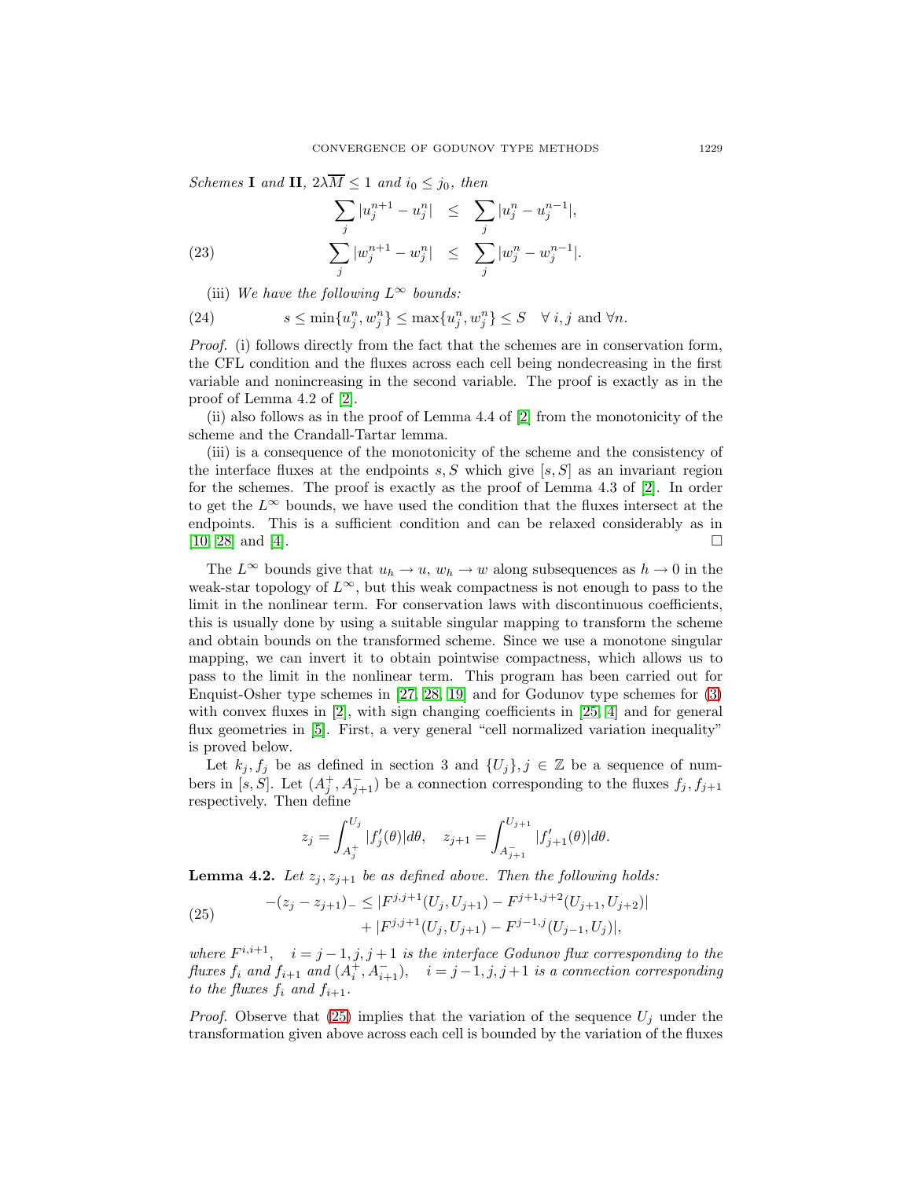Schemes **I** and **II**,  $2\lambda \overline{M} \leq 1$  and  $i_0 \leq j_0$ , then

(23) 
$$
\sum_{j} |u_j^{n+1} - u_j^{n}| \leq \sum_{j} |u_j^{n} - u_j^{n-1}|,
$$

$$
\sum_{j} |w_j^{n+1} - w_j^{n}| \leq \sum_{j} |w_j^{n} - w_j^{n-1}|.
$$

(iii) We have the following  $L^{\infty}$  bounds:

(24) 
$$
s \le \min\{u_j^n, w_j^n\} \le \max\{u_j^n, w_j^n\} \le S \quad \forall i, j \text{ and } \forall n.
$$

Proof. (i) follows directly from the fact that the schemes are in conservation form, the CFL condition and the fluxes across each cell being nondecreasing in the first variable and nonincreasing in the second variable. The proof is exactly as in the proof of Lemma 4.2 of [\[2\]](#page-22-7).

(ii) also follows as in the proof of Lemma 4.4 of [\[2\]](#page-22-7) from the monotonicity of the scheme and the Crandall-Tartar lemma.

(iii) is a consequence of the monotonicity of the scheme and the consistency of the interface fluxes at the endpoints  $s, S$  which give  $[s, S]$  as an invariant region for the schemes. The proof is exactly as the proof of Lemma 4.3 of [\[2\]](#page-22-7). In order to get the  $L^{\infty}$  bounds, we have used the condition that the fluxes intersect at the endpoints. This is a sufficient condition and can be relaxed considerably as in [\[10,](#page-22-11) [28\]](#page-23-9) and [\[4\]](#page-22-9).

The  $L^{\infty}$  bounds give that  $u_h \to u$ ,  $w_h \to w$  along subsequences as  $h \to 0$  in the weak-star topology of  $L^{\infty}$ , but this weak compactness is not enough to pass to the limit in the nonlinear term. For conservation laws with discontinuous coefficients, this is usually done by using a suitable singular mapping to transform the scheme and obtain bounds on the transformed scheme. Since we use a monotone singular mapping, we can invert it to obtain pointwise compactness, which allows us to pass to the limit in the nonlinear term. This program has been carried out for Enquist-Osher type schemes in [\[27,](#page-23-8) [28,](#page-23-9) [19\]](#page-23-10) and for Godunov type schemes for [\(3\)](#page-1-1) with convex fluxes in [\[2\]](#page-22-7), with sign changing coefficients in [\[25,](#page-23-7) [4\]](#page-22-9) and for general flux geometries in [\[5\]](#page-22-10). First, a very general "cell normalized variation inequality" is proved below.

Let  $k_j, f_j$  be as defined in section 3 and  $\{U_j\}, j \in \mathbb{Z}$  be a sequence of numbers in [s, S]. Let  $(A_j^+, A_{j+1}^-)$  be a connection corresponding to the fluxes  $f_j, f_{j+1}$ respectively. Then define

<span id="page-10-0"></span>
$$
z_j = \int_{A_j^+}^{U_j} |f_j'(\theta)| d\theta, \quad z_{j+1} = \int_{A_{j+1}^-}^{U_{j+1}} |f_{j+1}'(\theta)| d\theta.
$$

<span id="page-10-1"></span>**Lemma 4.2.** Let  $z_j, z_{j+1}$  be as defined above. Then the following holds:

(25) 
$$
-(z_j - z_{j+1})_{-} \leq |F^{j,j+1}(U_j, U_{j+1}) - F^{j+1,j+2}(U_{j+1}, U_{j+2})| + |F^{j,j+1}(U_j, U_{j+1}) - F^{j-1,j}(U_{j-1}, U_j)|,
$$

where  $F^{i,i+1}$ ,  $i = j-1, j, j+1$  is the interface Godunov flux corresponding to the fluxes  $f_i$  and  $f_{i+1}$  and  $(A_i^+, A_{i+1}^-)$ ,  $i = j-1, j, j+1$  is a connection corresponding to the fluxes  $f_i$  and  $f_{i+1}$ .

*Proof.* Observe that [\(25\)](#page-10-0) implies that the variation of the sequence  $U_i$  under the transformation given above across each cell is bounded by the variation of the fluxes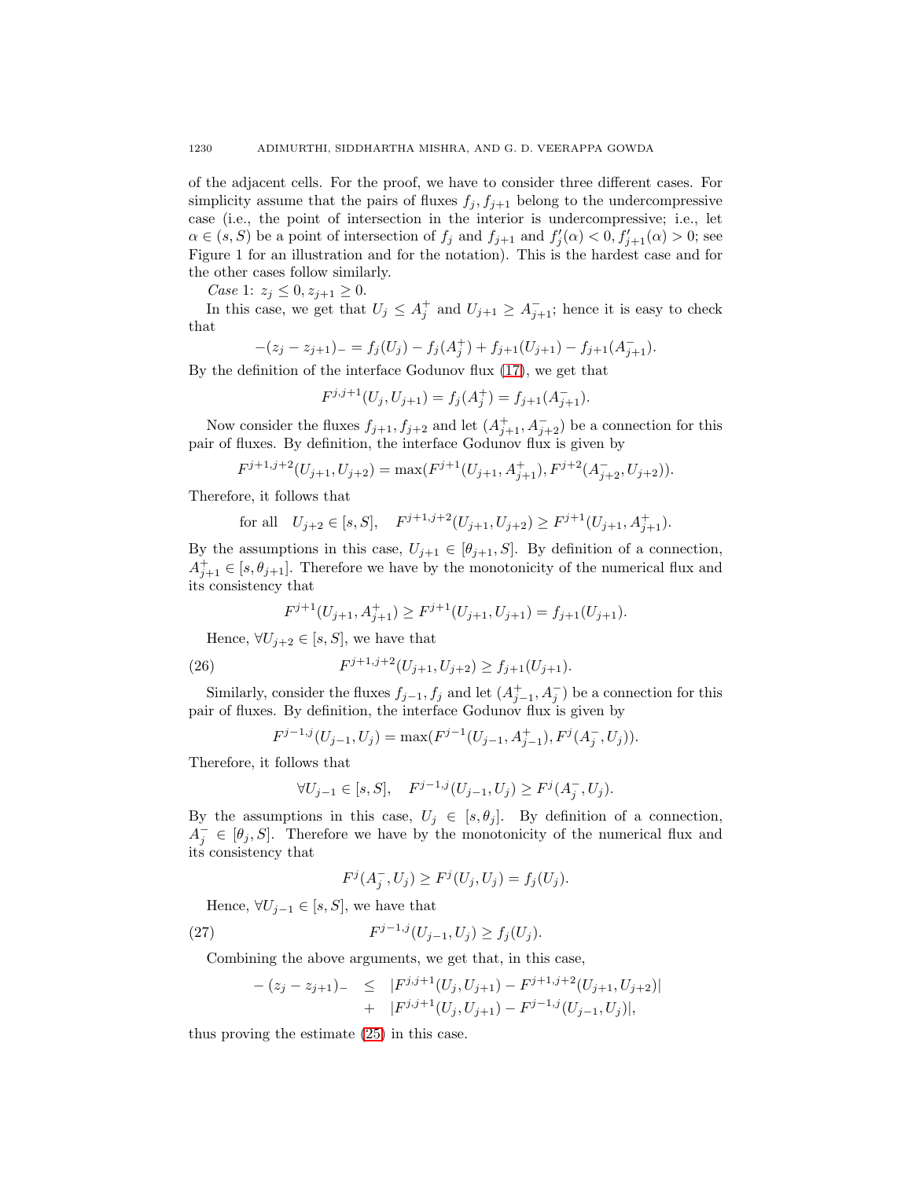of the adjacent cells. For the proof, we have to consider three different cases. For simplicity assume that the pairs of fluxes  $f_j, f_{j+1}$  belong to the undercompressive case (i.e., the point of intersection in the interior is undercompressive; i.e., let  $\alpha \in (s, S)$  be a point of intersection of  $f_j$  and  $f_{j+1}$  and  $f'_j(\alpha) < 0, f'_{j+1}(\alpha) > 0$ ; see Figure 1 for an illustration and for the notation). This is the hardest case and for the other cases follow similarly.

Case 1:  $z_j \leq 0, z_{j+1} \geq 0$ .

In this case, we get that  $U_j \leq A_j^+$  and  $U_{j+1} \geq A_{j+1}^-$ ; hence it is easy to check that

$$
-(z_j - z_{j+1})_{-} = f_j(U_j) - f_j(A_j^+) + f_{j+1}(U_{j+1}) - f_{j+1}(A_{j+1}^-).
$$

By the definition of the interface Godunov flux [\(17\)](#page-7-0), we get that

$$
F^{j,j+1}(U_j, U_{j+1}) = f_j(A_j^+) = f_{j+1}(A_{j+1}^-).
$$

Now consider the fluxes  $f_{j+1}, f_{j+2}$  and let  $(A_{j+1}^+, A_{j+2}^-)$  be a connection for this pair of fluxes. By definition, the interface Godunov flux is given by

$$
F^{j+1,j+2}(U_{j+1}, U_{j+2}) = \max(F^{j+1}(U_{j+1}, A_{j+1}^+), F^{j+2}(A_{j+2}^-, U_{j+2})).
$$

Therefore, it follows that

for all 
$$
U_{j+2} \in [s, S]
$$
,  $F^{j+1,j+2}(U_{j+1}, U_{j+2}) \ge F^{j+1}(U_{j+1}, A_{j+1}^+)$ .

By the assumptions in this case,  $U_{j+1} \in [\theta_{j+1}, S]$ . By definition of a connection,  $A_{j+1}^+ \in [s, \theta_{j+1}]$ . Therefore we have by the monotonicity of the numerical flux and its consistency that

$$
F^{j+1}(U_{j+1}, A_{j+1}^+) \ge F^{j+1}(U_{j+1}, U_{j+1}) = f_{j+1}(U_{j+1}).
$$

Hence,  $\forall U_{i+2} \in [s, S]$ , we have that

(26) 
$$
F^{j+1,j+2}(U_{j+1}, U_{j+2}) \ge f_{j+1}(U_{j+1}).
$$

Similarly, consider the fluxes  $f_{j-1}, f_j$  and let  $(A_{j-1}^+, A_j^-)$  be a connection for this pair of fluxes. By definition, the interface Godunov flux is given by

$$
F^{j-1,j}(U_{j-1}, U_j) = \max(F^{j-1}(U_{j-1}, A_{j-1}^+), F^j(A_j^-, U_j)).
$$

Therefore, it follows that

$$
\forall U_{j-1} \in [s, S], \quad F^{j-1,j}(U_{j-1}, U_j) \ge F^j(A_j^-, U_j).
$$

By the assumptions in this case,  $U_j \in [s, \theta_j]$ . By definition of a connection,  $A_j^- \in [\theta_j, S]$ . Therefore we have by the monotonicity of the numerical flux and its consistency that

<span id="page-11-0"></span>
$$
F^{j}(A_{j}^{-},U_{j}) \geq F^{j}(U_{j},U_{j}) = f_{j}(U_{j}).
$$

Hence,  $\forall U_{j-1} \in [s, S]$ , we have that

(27) 
$$
F^{j-1,j}(U_{j-1},U_j) \ge f_j(U_j).
$$

Combining the above arguments, we get that, in this case,

$$
- (z_j - z_{j+1})_{-} \leq |F^{j,j+1}(U_j, U_{j+1}) - F^{j+1,j+2}(U_{j+1}, U_{j+2})| + |F^{j,j+1}(U_j, U_{j+1}) - F^{j-1,j}(U_{j-1}, U_j)|,
$$

thus proving the estimate [\(25\)](#page-10-0) in this case.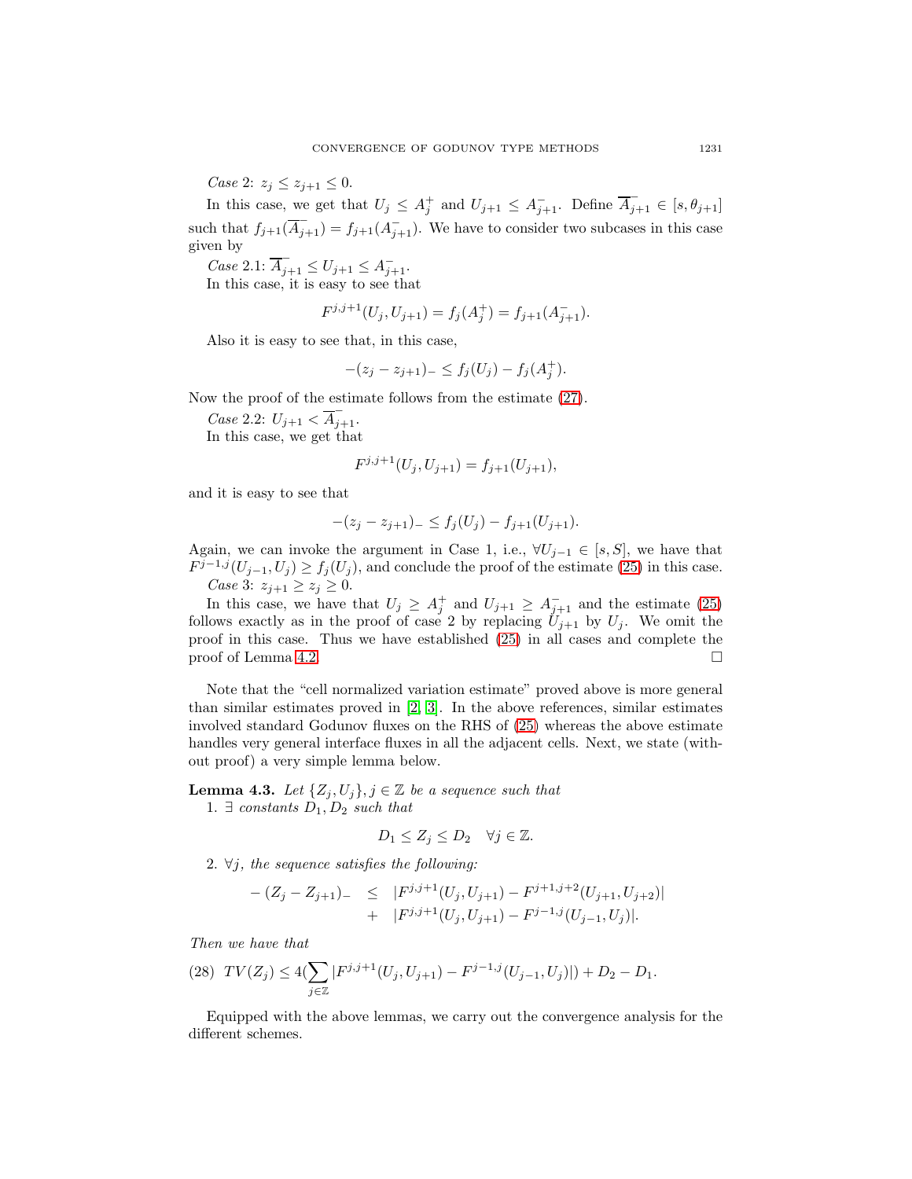*Case 2:*  $z_j \leq z_{j+1} \leq 0$ .

In this case, we get that  $U_j \leq A_j^+$  and  $U_{j+1} \leq A_{j+1}^-$ . Define  $\overline{A}_{j+1} \in [s, \theta_{j+1}]$ such that  $f_{j+1}(\overline{A}_{j+1}) = f_{j+1}(A_{j+1}^{-})$ . We have to consider two subcases in this case given by

Case 2.1:  $\overline{A}_{j+1} \le U_{j+1} \le A_{j+1}$ .

In this case, it is easy to see that

$$
F^{j,j+1}(U_j, U_{j+1}) = f_j(A_j^+) = f_{j+1}(A_{j+1}^-).
$$

Also it is easy to see that, in this case,

$$
-(z_j - z_{j+1})_- \le f_j(U_j) - f_j(A_j^+).
$$

Now the proof of the estimate follows from the estimate [\(27\)](#page-11-0).

Case 2.2:  $U_{j+1} < \overline{A}_{j+1}$ .

In this case, we get that

$$
F^{j,j+1}(U_j, U_{j+1}) = f_{j+1}(U_{j+1}),
$$

and it is easy to see that

$$
-(z_j - z_{j+1})_{-} \le f_j(U_j) - f_{j+1}(U_{j+1}).
$$

Again, we can invoke the argument in Case 1, i.e.,  $\forall U_{j-1} \in [s, S]$ , we have that  $F^{j-1,j}(U_{j-1}, U_j) \ge f_j(U_j)$ , and conclude the proof of the estimate [\(25\)](#page-10-0) in this case. *Case* 3:  $z_{j+1} \ge z_j \ge 0$ .

In this case, we have that  $U_j \geq A_j^+$  and  $U_{j+1} \geq A_{j+1}^-$  and the estimate [\(25\)](#page-10-0) follows exactly as in the proof of case 2 by replacing  $U_{j+1}$  by  $U_j$ . We omit the proof in this case. Thus we have established [\(25\)](#page-10-0) in all cases and complete the proof of Lemma [4.2.](#page-10-1)  $\Box$ 

Note that the "cell normalized variation estimate" proved above is more general than similar estimates proved in [\[2,](#page-22-7) [3\]](#page-22-8). In the above references, similar estimates involved standard Godunov fluxes on the RHS of [\(25\)](#page-10-0) whereas the above estimate handles very general interface fluxes in all the adjacent cells. Next, we state (without proof) a very simple lemma below.

<span id="page-12-0"></span>**Lemma 4.3.** Let  $\{Z_j, U_j\}, j \in \mathbb{Z}$  be a sequence such that

1.  $\exists$  constants  $D_1, D_2$  such that

$$
D_1 \leq Z_j \leq D_2 \quad \forall j \in \mathbb{Z}.
$$

2.  $\forall j$ , the sequence satisfies the following:

$$
- (Z_j - Z_{j+1})_{-} \leq |F^{j,j+1}(U_j, U_{j+1}) - F^{j+1,j+2}(U_{j+1}, U_{j+2})| + |F^{j,j+1}(U_j, U_{j+1}) - F^{j-1,j}(U_{j-1}, U_j)|.
$$

Then we have that

$$
(28) TV(Z_j) \le 4(\sum_{j \in \mathbb{Z}} |F^{j,j+1}(U_j, U_{j+1}) - F^{j-1,j}(U_{j-1}, U_j)|) + D_2 - D_1.
$$

Equipped with the above lemmas, we carry out the convergence analysis for the different schemes.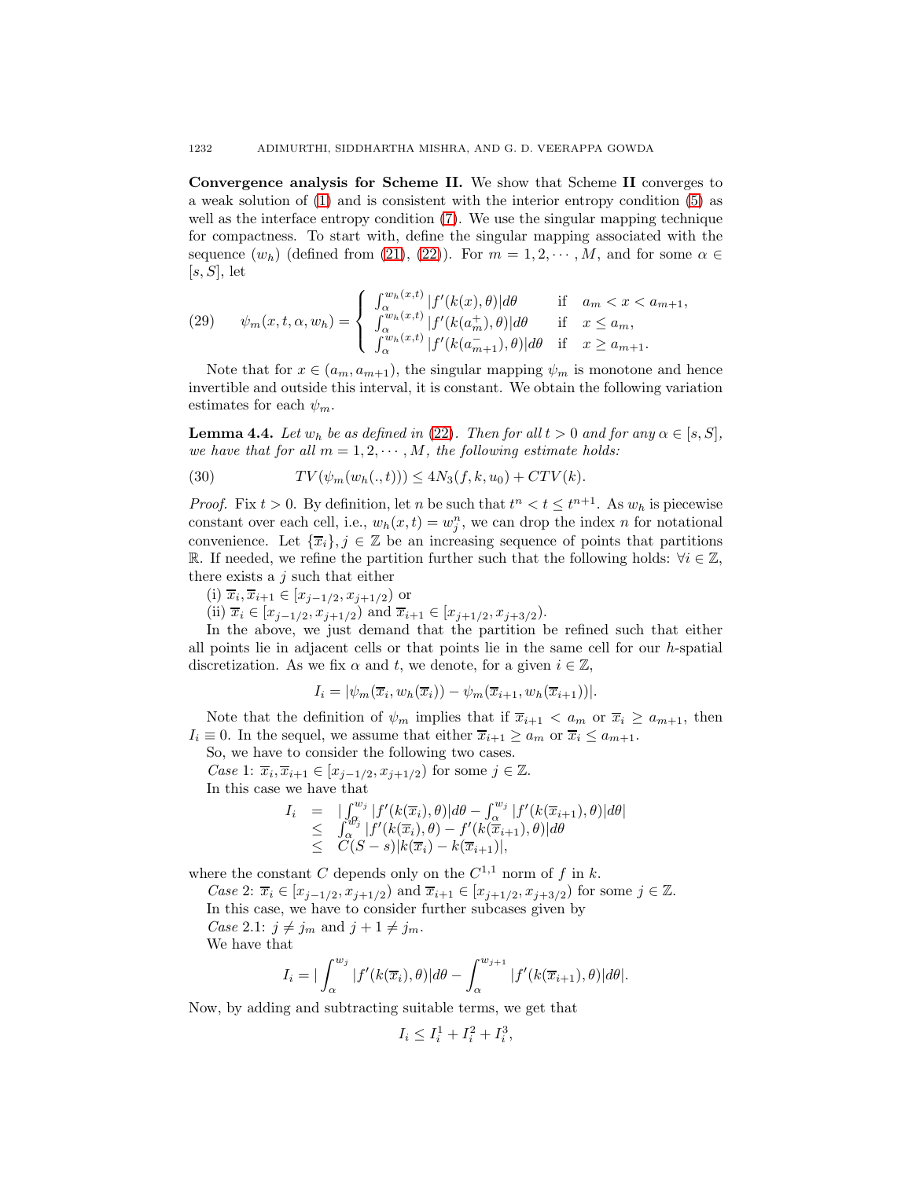**Convergence analysis for Scheme II.** We show that Scheme **II** converges to a weak solution of [\(1\)](#page-0-0) and is consistent with the interior entropy condition [\(5\)](#page-3-1) as well as the interface entropy condition [\(7\)](#page-4-1). We use the singular mapping technique for compactness. To start with, define the singular mapping associated with the sequence  $(w_h)$  (defined from [\(21\)](#page-8-0), [\(22\)](#page-9-0)). For  $m = 1, 2, \dots, M$ , and for some  $\alpha \in$  $[s, S]$ , let

<span id="page-13-2"></span>(29) 
$$
\psi_m(x,t,\alpha,w_h) = \begin{cases} \int_{\alpha}^{w_h(x,t)} |f'(k(x),\theta)| d\theta & \text{if } a_m < x < a_{m+1}, \\ \int_{\alpha}^{w_h(x,t)} |f'(k(a_m^+),\theta)| d\theta & \text{if } x \le a_m, \\ \int_{\alpha}^{w_h(x,t)} |f'(k(a_{m+1}^-),\theta)| d\theta & \text{if } x \ge a_{m+1}. \end{cases}
$$

Note that for  $x \in (a_m, a_{m+1})$ , the singular mapping  $\psi_m$  is monotone and hence invertible and outside this interval, it is constant. We obtain the following variation estimates for each  $\psi_m$ .

<span id="page-13-1"></span>**Lemma 4.4.** Let  $w_h$  be as defined in [\(22\)](#page-9-0). Then for all  $t > 0$  and for any  $\alpha \in [s, S]$ , we have that for all  $m = 1, 2, \cdots, M$ , the following estimate holds:

(30) 
$$
TV(\psi_m(w_h(., t))) \le 4N_3(f, k, u_0) + CTV(k).
$$

*Proof.* Fix  $t > 0$ . By definition, let n be such that  $t^n < t \leq t^{n+1}$ . As  $w_h$  is piecewise constant over each cell, i.e.,  $w_h(x,t) = w_j^n$ , we can drop the index n for notational convenience. Let  $\{\overline{x}_i\}, j \in \mathbb{Z}$  be an increasing sequence of points that partitions R. If needed, we refine the partition further such that the following holds:  $\forall i \in \mathbb{Z}$ , there exists a  $j$  such that either

- (i)  $\overline{x}_i, \overline{x}_{i+1} \in [x_{j-1/2}, x_{j+1/2}]$  or
- (ii)  $\overline{x}_i \in [x_{j-1/2}, x_{j+1/2})$  and  $\overline{x}_{i+1} \in [x_{j+1/2}, x_{j+3/2})$ .

In the above, we just demand that the partition be refined such that either all points lie in adjacent cells or that points lie in the same cell for our  $h$ -spatial discretization. As we fix  $\alpha$  and t, we denote, for a given  $i \in \mathbb{Z}$ ,

$$
I_i = |\psi_m(\overline{x}_i, w_h(\overline{x}_i)) - \psi_m(\overline{x}_{i+1}, w_h(\overline{x}_{i+1}))|.
$$

Note that the definition of  $\psi_m$  implies that if  $\overline{x}_{i+1} < a_m$  or  $\overline{x}_i \ge a_{m+1}$ , then  $I_i \equiv 0$ . In the sequel, we assume that either  $\overline{x}_{i+1} \ge a_m$  or  $\overline{x}_i \le a_{m+1}$ .

So, we have to consider the following two cases.

Case 1:  $\overline{x}_i, \overline{x}_{i+1} \in [x_{j-1/2}, x_{j+1/2})$  for some  $j \in \mathbb{Z}$ . In this case we have that

<span id="page-13-0"></span>
$$
I_i = |\int_{\alpha}^{w_j} |f'(k(\overline{x}_i), \theta)| d\theta - \int_{\alpha}^{w_j} |f'(k(\overline{x}_{i+1}), \theta)| d\theta|
$$
  
\n
$$
\leq \int_{\alpha}^{\beta_j} |f'(k(\overline{x}_i), \theta) - f'(k(\overline{x}_{i+1}), \theta)| d\theta
$$
  
\n
$$
\leq C(S-s) |k(\overline{x}_i) - k(\overline{x}_{i+1})|,
$$

where the constant C depends only on the  $C^{1,1}$  norm of f in k.

*Case 2*:  $\overline{x}_i \in [x_{j-1/2}, x_{j+1/2}]$  and  $\overline{x}_{i+1} \in [x_{j+1/2}, x_{j+3/2}]$  for some  $j \in \mathbb{Z}$ . In this case, we have to consider further subcases given by

Case 2.1:  $j \neq j_m$  and  $j + 1 \neq j_m$ .

We have that

$$
I_i = \left| \int_{\alpha}^{w_j} |f'(k(\overline{x}_i), \theta)| d\theta - \int_{\alpha}^{w_{j+1}} |f'(k(\overline{x}_{i+1}), \theta)| d\theta \right|.
$$

Now, by adding and subtracting suitable terms, we get that

$$
I_i \leq I_i^1 + I_i^2 + I_i^3,
$$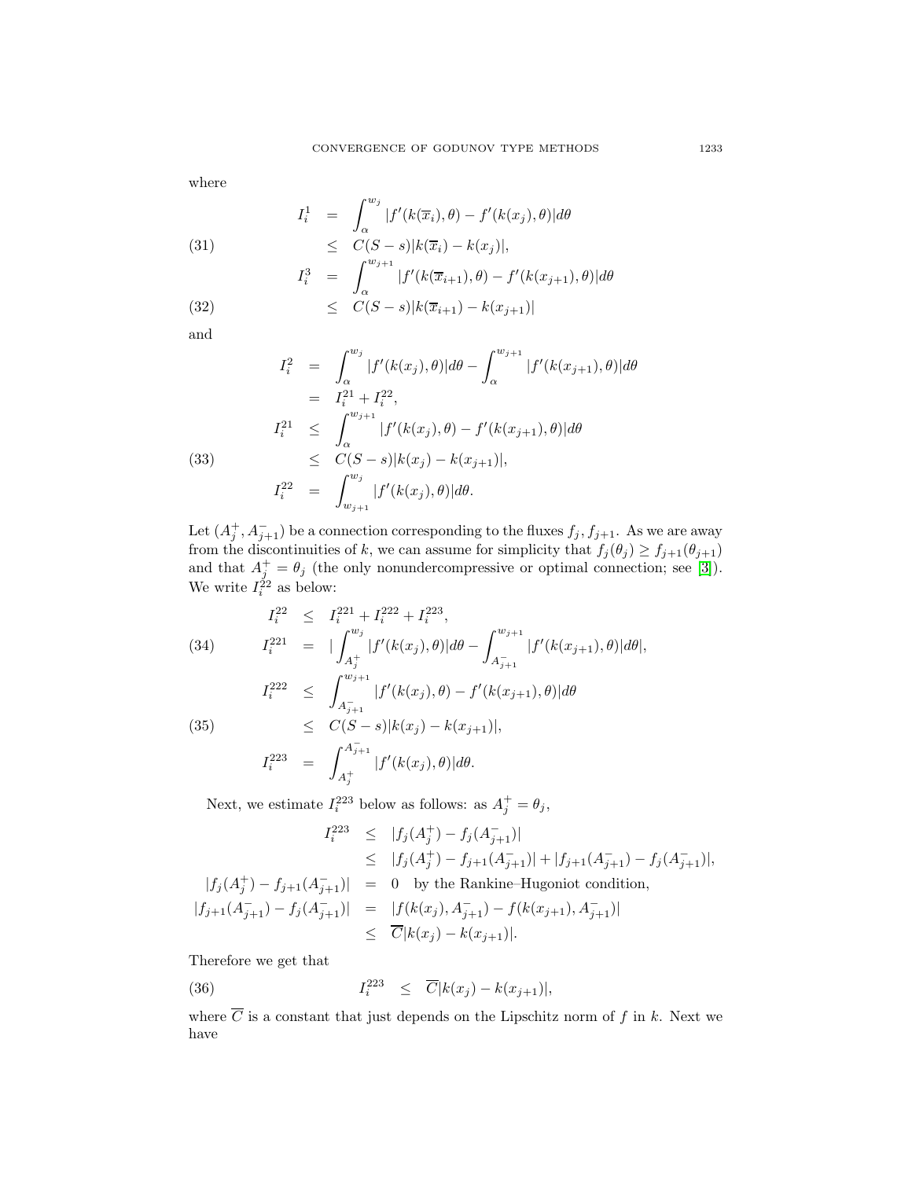where

(31) 
$$
I_i^1 = \int_{\alpha}^{w_j} |f'(k(\overline{x}_i), \theta) - f'(k(x_j), \theta)| d\theta
$$

$$
\leq C(S - s)|k(\overline{x}_i) - k(x_j)|,
$$

$$
I_i^3 = \int_{\alpha}^{w_{j+1}} |f'(k(\overline{x}_{i+1}), \theta) - f'(k(x_{j+1}), \theta)| d\theta
$$

(32) 
$$
\leq C(S-s)|k(\overline{x}_{i+1})-k(x_{j+1})|
$$

and

(33)  
\n
$$
I_i^2 = \int_{\alpha}^{w_j} |f'(k(x_j), \theta)| d\theta - \int_{\alpha}^{w_{j+1}} |f'(k(x_{j+1}), \theta)| d\theta
$$
\n
$$
= I_i^{21} + I_i^{22},
$$
\n
$$
I_i^{21} \le \int_{\alpha}^{w_{j+1}} |f'(k(x_j), \theta) - f'(k(x_{j+1}), \theta)| d\theta
$$
\n
$$
\le C(S - s)|k(x_j) - k(x_{j+1})|,
$$
\n
$$
I_i^{22} = \int_{w_{j+1}}^{w_j} |f'(k(x_j), \theta)| d\theta.
$$

Let  $(A_j^+, A_{j+1}^-)$  be a connection corresponding to the fluxes  $f_j, f_{j+1}$ . As we are away from the discontinuities of k, we can assume for simplicity that  $f_j(\theta_j) \geq f_{j+1}(\theta_{j+1})$ and that  $A_j^+ = \theta_j$  (the only nonundercompressive or optimal connection; see [\[3\]](#page-22-8)). We write  $I_i^{\hat{2}2}$  as below:

$$
I_i^{22} \leq I_i^{221} + I_i^{222} + I_i^{223},
$$
\n(34) 
$$
I_i^{221} = |\int_{A_j^+}^{w_j} |f'(k(x_j), \theta)| d\theta - \int_{A_{j+1}^-}^{w_{j+1}} |f'(k(x_{j+1}), \theta)| d\theta|,
$$
\n
$$
I_i^{222} \leq \int_{A_{j+1}^-}^{w_{j+1}} |f'(k(x_j), \theta) - f'(k(x_{j+1}), \theta)| d\theta
$$
\n(35) 
$$
\leq C(S-s)|k(x_j) - k(x_{j+1})|,
$$
\n
$$
f^{A_{j+1}^-}
$$

$$
I_i^{223} = \int_{A_j^+}^{A_{j+1}^-} |f'(k(x_j), \theta)| d\theta.
$$

Next, we estimate  $I_i^{223}$  below as follows: as  $A_j^+ = \theta_j$ ,

$$
I_i^{223} \leq |f_j(A_j^+) - f_j(A_{j+1}^-)|
$$
  
\n
$$
\leq |f_j(A_j^+) - f_{j+1}(A_{j+1}^-)| + |f_{j+1}(A_{j+1}^-) - f_j(A_{j+1}^-)|,
$$
  
\n
$$
|f_j(A_j^+) - f_{j+1}(A_{j+1}^-)| = 0 \text{ by the Rankine-Hugoniot condition,}
$$
  
\n
$$
|f_{j+1}(A_{j+1}^-) - f_j(A_{j+1}^-)| = |f(k(x_j), A_{j+1}^-) - f(k(x_{j+1}), A_{j+1}^-)|
$$
  
\n
$$
\leq \overline{C}|k(x_j) - k(x_{j+1})|.
$$

Therefore we get that

<span id="page-14-0"></span>(36) 
$$
I_i^{223} \leq \overline{C}|k(x_j) - k(x_{j+1})|,
$$

where  $\overline{C}$  is a constant that just depends on the Lipschitz norm of f in k. Next we have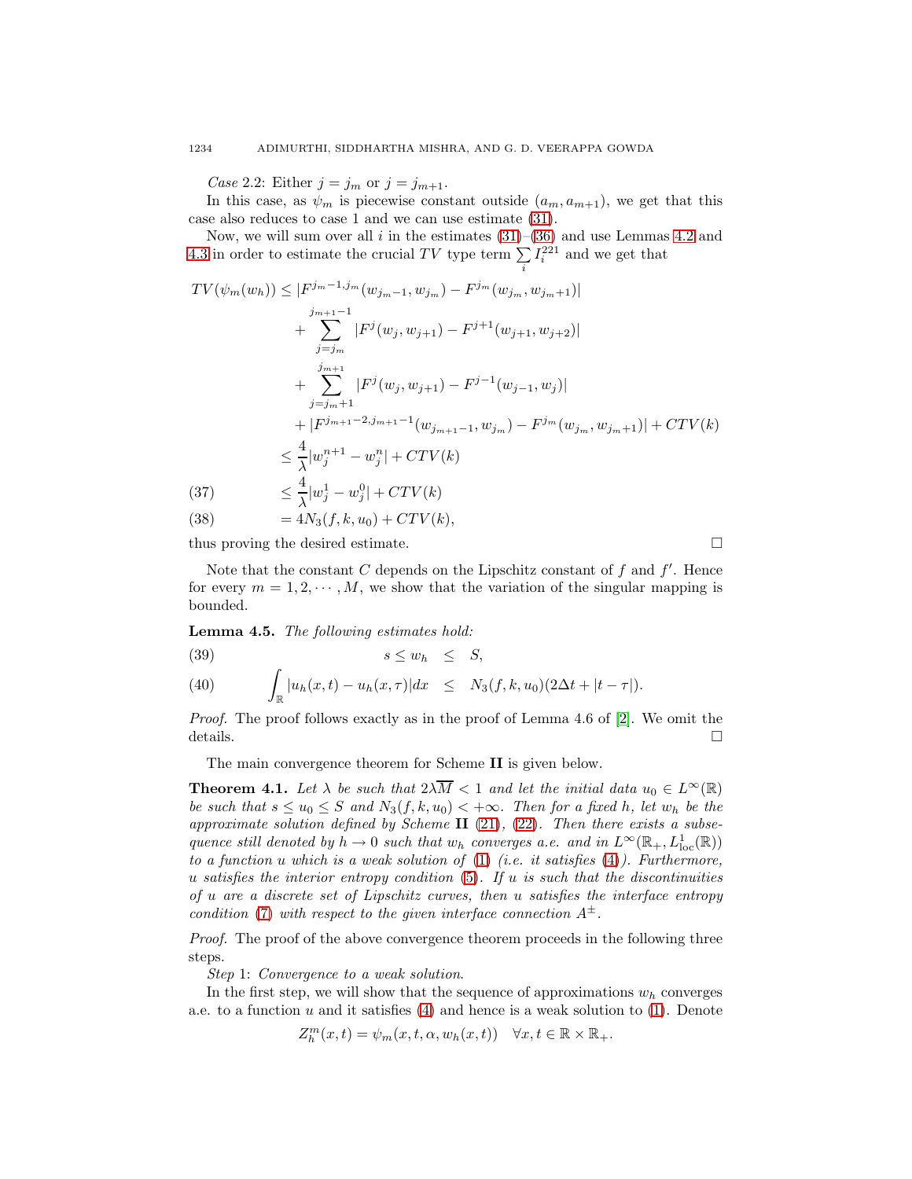Case 2.2: Either  $j = j_m$  or  $j = j_{m+1}$ .

In this case, as  $\psi_m$  is piecewise constant outside  $(a_m, a_{m+1})$ , we get that this case also reduces to case 1 and we can use estimate [\(31\)](#page-13-0).

Now, we will sum over all i in the estimates  $(31)$ – $(36)$  and use Lemmas [4.2](#page-10-1) and [4.3](#page-12-0) in order to estimate the crucial TV type term  $\sum_{i}$  $I_i^{221}$  and we get that

$$
TV(\psi_m(w_h)) \le |F^{j_m-1,j_m}(w_{j_m-1}, w_{j_m}) - F^{j_m}(w_{j_m}, w_{j_m+1})|
$$
  
\n
$$
+ \sum_{j=j_m}^{j_{m+1}-1} |F^j(w_j, w_{j+1}) - F^{j+1}(w_{j+1}, w_{j+2})|
$$
  
\n
$$
+ \sum_{j=j_m+1}^{j_{m+1}} |F^j(w_j, w_{j+1}) - F^{j-1}(w_{j-1}, w_j)|
$$
  
\n
$$
+ |F^{j_{m+1}-2,j_{m+1}-1}(w_{j_{m+1}-1}, w_{j_m}) - F^{j_m}(w_{j_m}, w_{j_m+1})| + CTV(k)
$$
  
\n
$$
\le \frac{4}{\lambda} |w_j^{n+1} - w_j^{n}| + CTV(k)
$$
  
\n(37) 
$$
\le \frac{4}{\lambda} |w_j^{1} - w_j^{0}| + CTV(k)
$$

(38) 
$$
= 4N_3(f, k, u_0) + CTV(k),
$$

thus proving the desired estimate.  $\Box$ 

Note that the constant C depends on the Lipschitz constant of  $f$  and  $f'$ . Hence for every  $m = 1, 2, \dots, M$ , we show that the variation of the singular mapping is bounded.

**Lemma 4.5.** The following estimates hold:

<span id="page-15-0"></span>
$$
(39) \t\t s \leq w_h \leq S,
$$

(40) 
$$
\int_{\mathbb{R}} |u_h(x,t) - u_h(x,\tau)| dx \leq N_3(f,k,u_0)(2\Delta t + |t-\tau|).
$$

Proof. The proof follows exactly as in the proof of Lemma 4.6 of [\[2\]](#page-22-7). We omit the details.  $\Box$ 

The main convergence theorem for Scheme **II** is given below.

<span id="page-15-1"></span>**Theorem 4.1.** Let  $\lambda$  be such that  $2\lambda \overline{M} < 1$  and let the initial data  $u_0 \in L^{\infty}(\mathbb{R})$ be such that  $s \le u_0 \le S$  and  $N_3(f, k, u_0) < +\infty$ . Then for a fixed h, let  $w_h$  be the approximate solution defined by Scheme  $II$  [\(21\)](#page-8-0), [\(22\)](#page-9-0). Then there exists a subsequence still denoted by  $h \to 0$  such that  $w_h$  converges a.e. and in  $L^{\infty}(\mathbb{R}_+, L^1_{loc}(\mathbb{R}))$ to a function u which is a weak solution of  $(1)$  (i.e. it satisfies  $(4)$ ). Furthermore, u satisfies the interior entropy condition  $(5)$ . If u is such that the discontinuities of u are a discrete set of Lipschitz curves, then u satisfies the interface entropy condition [\(7\)](#page-4-1) with respect to the given interface connection  $A^{\pm}$ .

Proof. The proof of the above convergence theorem proceeds in the following three steps.

Step 1: Convergence to a weak solution.

In the first step, we will show that the sequence of approximations  $w<sub>h</sub>$  converges a.e. to a function  $u$  and it satisfies [\(4\)](#page-3-0) and hence is a weak solution to [\(1\)](#page-0-0). Denote

$$
Z_h^m(x,t) = \psi_m(x,t,\alpha,w_h(x,t)) \quad \forall x,t \in \mathbb{R} \times \mathbb{R}_+.
$$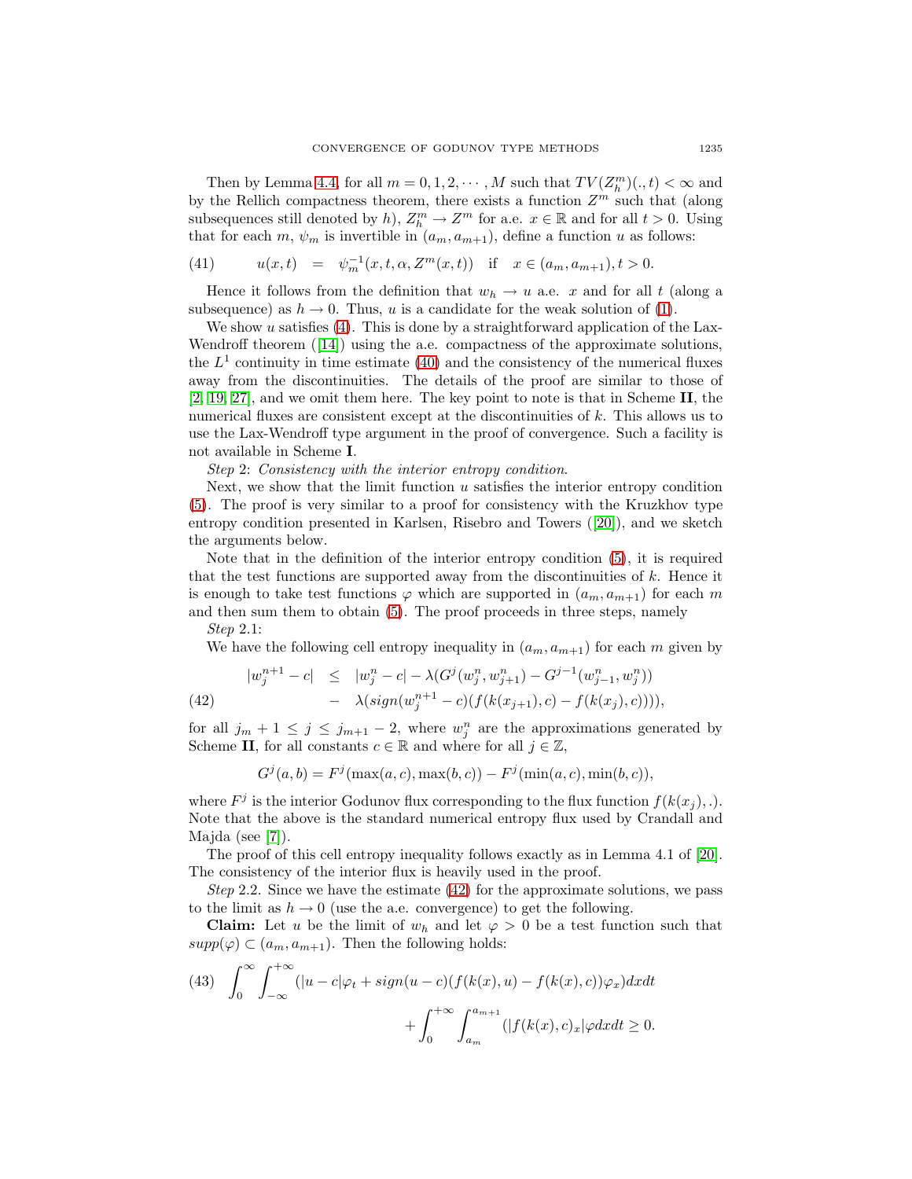Then by Lemma [4.4,](#page-13-1) for all  $m = 0, 1, 2, \dots, M$  such that  $TV(Z_h^m)(., t) < \infty$  and by the Rellich compactness theorem, there exists a function  $Z^m$  such that (along subsequences still denoted by h),  $Z_h^m \to Z^m$  for a.e.  $x \in \mathbb{R}$  and for all  $t > 0$ . Using that for each m,  $\psi_m$  is invertible in  $(a_m, a_{m+1})$ , define a function u as follows:

(41) 
$$
u(x,t) = \psi_m^{-1}(x,t,\alpha,Z^m(x,t)) \text{ if } x \in (a_m,a_{m+1}), t > 0.
$$

Hence it follows from the definition that  $w_h \to u$  a.e. x and for all t (along a subsequence) as  $h \to 0$ . Thus, u is a candidate for the weak solution of [\(1\)](#page-0-0).

We show  $u$  satisfies [\(4\)](#page-3-0). This is done by a straightforward application of the Lax-Wendroff theorem ([\[14\]](#page-22-0)) using the a.e. compactness of the approximate solutions, the  $L<sup>1</sup>$  continuity in time estimate [\(40\)](#page-15-0) and the consistency of the numerical fluxes away from the discontinuities. The details of the proof are similar to those of [\[2,](#page-22-7) [19,](#page-23-10) [27\]](#page-23-8), and we omit them here. The key point to note is that in Scheme **II**, the numerical fluxes are consistent except at the discontinuities of k. This allows us to use the Lax-Wendroff type argument in the proof of convergence. Such a facility is not available in Scheme **I**.

Step 2: Consistency with the interior entropy condition.

Next, we show that the limit function  $u$  satisfies the interior entropy condition [\(5\)](#page-3-1). The proof is very similar to a proof for consistency with the Kruzkhov type entropy condition presented in Karlsen, Risebro and Towers ([\[20\]](#page-23-5)), and we sketch the arguments below.

Note that in the definition of the interior entropy condition [\(5\)](#page-3-1), it is required that the test functions are supported away from the discontinuities of  $k$ . Hence it is enough to take test functions  $\varphi$  which are supported in  $(a_m, a_{m+1})$  for each m and then sum them to obtain [\(5\)](#page-3-1). The proof proceeds in three steps, namely Step 2.1:

We have the following cell entropy inequality in  $(a_m, a_{m+1})$  for each m given by

<span id="page-16-0"></span>(42) 
$$
|w_j^{n+1} - c| \le |w_j^n - c| - \lambda(G^j(w_j^n, w_{j+1}^n) - G^{j-1}(w_{j-1}^n, w_j^n)) - \lambda(sign(w_j^{n+1} - c)(f(k(x_{j+1}), c) - f(k(x_j), c)))),
$$

for all  $j_m + 1 \leq j \leq j_{m+1} - 2$ , where  $w_j^n$  are the approximations generated by Scheme **II**, for all constants  $c \in \mathbb{R}$  and where for all  $j \in \mathbb{Z}$ ,

$$
G^{j}(a, b) = F^{j}(\max(a, c), \max(b, c)) - F^{j}(\min(a, c), \min(b, c)),
$$

where  $F^j$  is the interior Godunov flux corresponding to the flux function  $f(k(x_i), ...)$ . Note that the above is the standard numerical entropy flux used by Crandall and Majda (see [\[7\]](#page-22-13)).

The proof of this cell entropy inequality follows exactly as in Lemma 4.1 of [\[20\]](#page-23-5). The consistency of the interior flux is heavily used in the proof.

Step 2.2. Since we have the estimate  $(42)$  for the approximate solutions, we pass to the limit as  $h \to 0$  (use the a.e. convergence) to get the following.

**Claim:** Let u be the limit of  $w_h$  and let  $\varphi > 0$  be a test function such that  $supp(\varphi) \subset (a_m, a_{m+1})$ . Then the following holds:

<span id="page-16-1"></span>(43) 
$$
\int_0^{\infty} \int_{-\infty}^{+\infty} (|u - c|\varphi_t + sign(u - c)(f(k(x), u) - f(k(x), c))\varphi_x) dxdt + \int_0^{+\infty} \int_{a_m}^{a_{m+1}} (|f(k(x), c)_x| \varphi dxdt \ge 0.
$$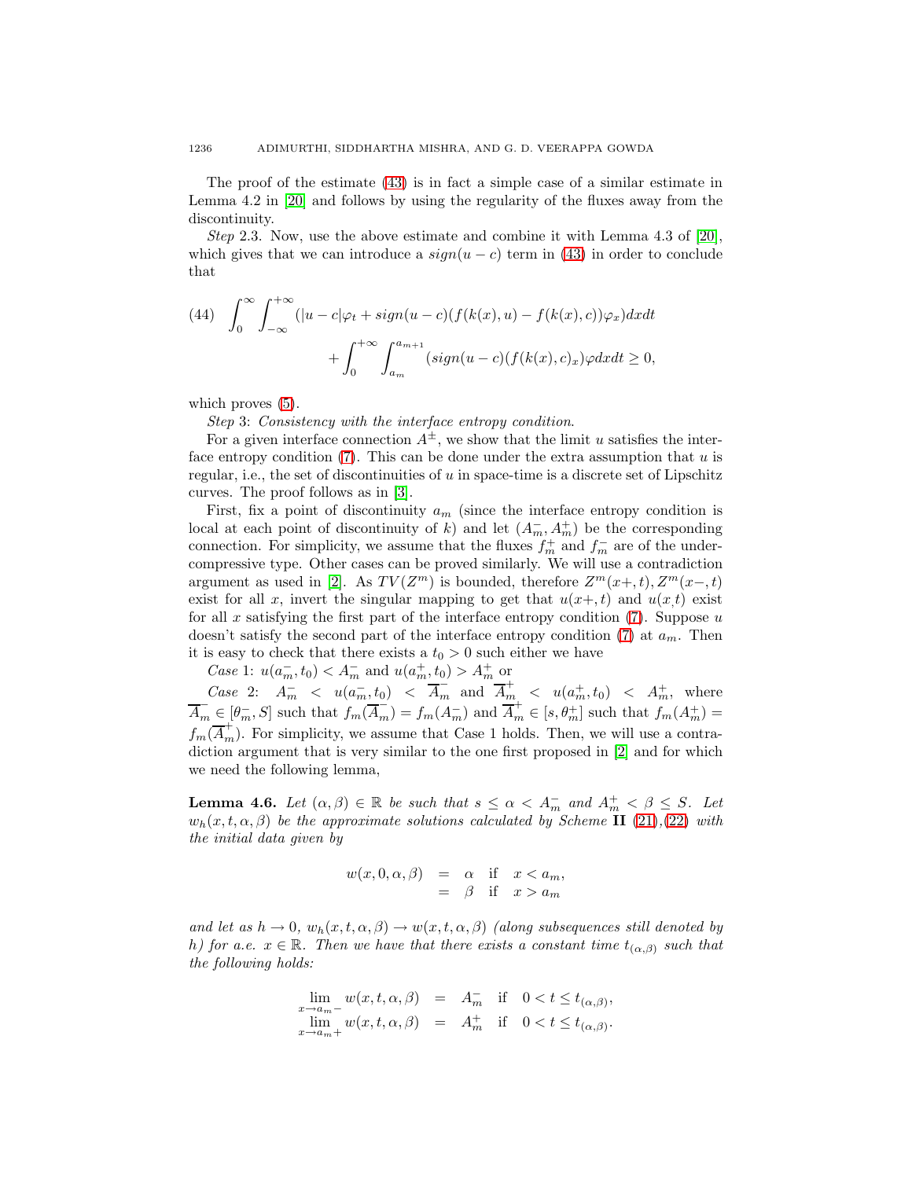The proof of the estimate [\(43\)](#page-16-1) is in fact a simple case of a similar estimate in Lemma 4.2 in [\[20\]](#page-23-5) and follows by using the regularity of the fluxes away from the discontinuity.

Step 2.3. Now, use the above estimate and combine it with Lemma 4.3 of  $[20]$ , which gives that we can introduce a  $sign(u - c)$  term in [\(43\)](#page-16-1) in order to conclude that

(44) 
$$
\int_0^{\infty} \int_{-\infty}^{+\infty} (|u - c|\varphi_t + sign(u - c)(f(k(x), u) - f(k(x), c))\varphi_x) dx dt
$$

$$
+ \int_0^{+\infty} \int_{a_m}^{a_{m+1}} (sign(u - c)(f(k(x), c)_x) \varphi dx dt \ge 0,
$$

which proves  $(5)$ .

Step 3: Consistency with the interface entropy condition.

For a given interface connection  $A^{\pm}$ , we show that the limit u satisfies the interface entropy condition  $(7)$ . This can be done under the extra assumption that u is regular, i.e., the set of discontinuities of  $u$  in space-time is a discrete set of Lipschitz curves. The proof follows as in [\[3\]](#page-22-8).

First, fix a point of discontinuity  $a_m$  (since the interface entropy condition is local at each point of discontinuity of k) and let  $(A_m^-, A_m^+)$  be the corresponding connection. For simplicity, we assume that the fluxes  $f_m^+$  and  $f_m^-$  are of the undercompressive type. Other cases can be proved similarly. We will use a contradiction argument as used in [\[2\]](#page-22-7). As  $TV(Z^m)$  is bounded, therefore  $Z^m(x+, t), Z^m(x-, t)$ exist for all x, invert the singular mapping to get that  $u(x+t)$  and  $u(x)$  exist for all  $x$  satisfying the first part of the interface entropy condition  $(7)$ . Suppose  $u$ doesn't satisfy the second part of the interface entropy condition [\(7\)](#page-4-1) at  $a_m$ . Then it is easy to check that there exists a  $t_0 > 0$  such either we have

*Case* 1:  $u(a_m^-, t_0) < A_m^-$  and  $u(a_m^+, t_0) > A_m^+$  or

Case 2:  $A_m^-$  <  $u(a_m^-, t_0)$  <  $\overline{A}_m^-$  and  $\overline{A}_m^+$  <  $u(a_m^+, t_0)$  <  $A_m^+$ , where  $\overline{A}_m \in [\theta_m^-, S]$  such that  $f_m(\overline{A}_m^-) = f_m(A_m^-)$  and  $\overline{A}_m^+ \in [s, \theta_m^+]$  such that  $f_m(A_m^+) =$  $f_m(\overline{A}_m^+)$ . For simplicity, we assume that Case 1 holds. Then, we will use a contradiction argument that is very similar to the one first proposed in [\[2\]](#page-22-7) and for which we need the following lemma,

**Lemma 4.6.** Let  $(\alpha, \beta) \in \mathbb{R}$  be such that  $s \leq \alpha < A_m^-$  and  $A_m^+ < \beta \leq S$ . Let  $w_h(x,t,\alpha,\beta)$  be the approximate solutions calculated by Scheme **II** [\(21\)](#page-8-0), [\(22\)](#page-9-0) with the initial data given by

$$
w(x, 0, \alpha, \beta) = \alpha \quad \text{if} \quad x < a_m, \\
 = \beta \quad \text{if} \quad x > a_m
$$

and let as  $h \to 0$ ,  $w_h(x, t, \alpha, \beta) \to w(x, t, \alpha, \beta)$  (along subsequences still denoted by h) for a.e.  $x \in \mathbb{R}$ . Then we have that there exists a constant time  $t_{(\alpha,\beta)}$  such that the following holds:

$$
\lim_{x \to a_m-} w(x, t, \alpha, \beta) = A_m^-\n \text{ if } 0 < t \le t_{(\alpha, \beta)},
$$
\n
$$
\lim_{x \to a_m+} w(x, t, \alpha, \beta) = A_m^+\n \text{ if } 0 < t \le t_{(\alpha, \beta)}.
$$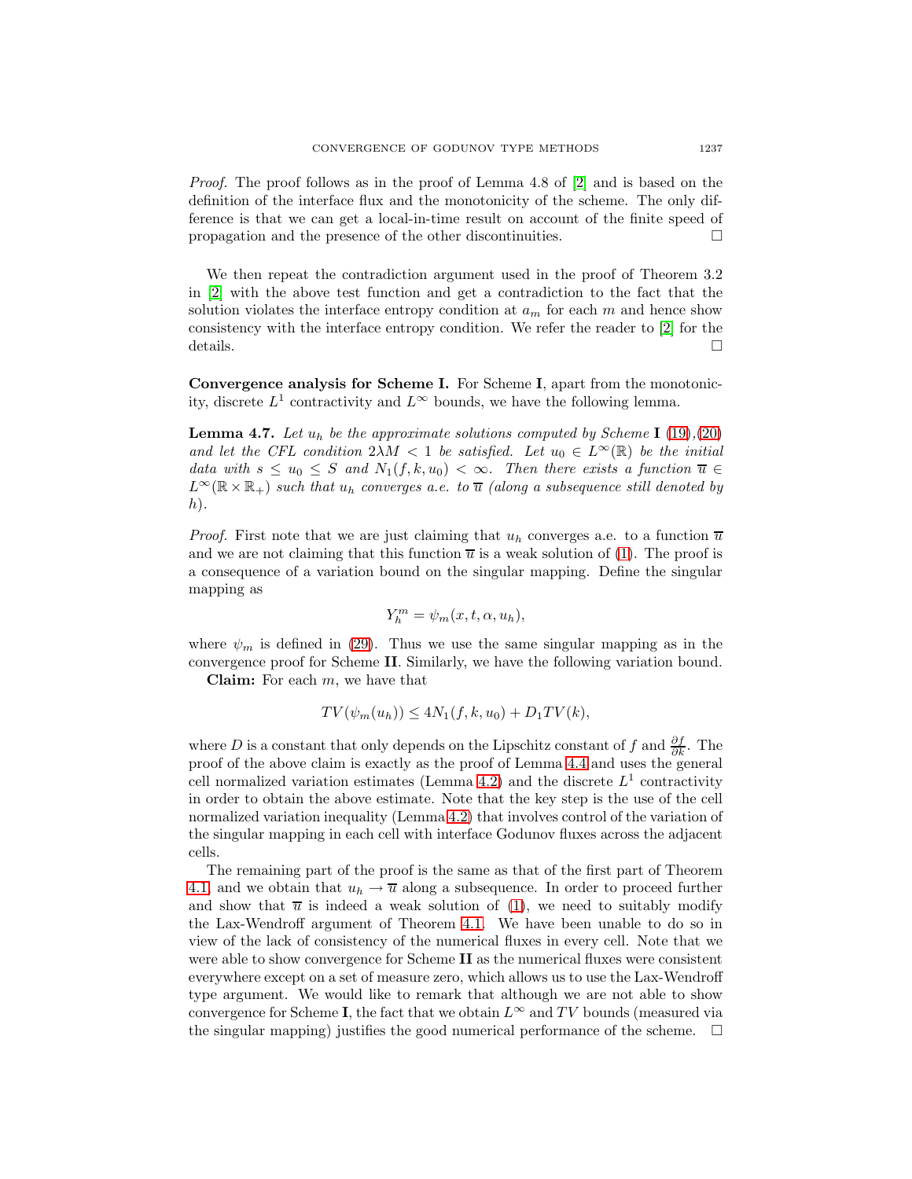Proof. The proof follows as in the proof of Lemma 4.8 of [\[2\]](#page-22-7) and is based on the definition of the interface flux and the monotonicity of the scheme. The only difference is that we can get a local-in-time result on account of the finite speed of propagation and the presence of the other discontinuities.  $\Box$ 

We then repeat the contradiction argument used in the proof of Theorem 3.2 in [\[2\]](#page-22-7) with the above test function and get a contradiction to the fact that the solution violates the interface entropy condition at  $a_m$  for each m and hence show consistency with the interface entropy condition. We refer the reader to [\[2\]](#page-22-7) for the details.  $\Box$ 

**Convergence analysis for Scheme I.** For Scheme **I**, apart from the monotonicity, discrete  $L^1$  contractivity and  $L^{\infty}$  bounds, we have the following lemma.

**Lemma 4.7.** Let  $u_h$  be the approximate solutions computed by Scheme **I** [\(19\)](#page-7-1),[\(20\)](#page-8-1) and let the CFL condition  $2\lambda M < 1$  be satisfied. Let  $u_0 \in L^{\infty}(\mathbb{R})$  be the initial data with  $s \leq u_0 \leq S$  and  $N_1(f, k, u_0) < \infty$ . Then there exists a function  $\overline{u} \in$  $L^{\infty}(\mathbb{R} \times \mathbb{R}_{+})$  such that  $u_h$  converges a.e. to  $\overline{u}$  (along a subsequence still denoted by  $(h)$ .

*Proof.* First note that we are just claiming that  $u_h$  converges a.e. to a function  $\overline{u}$ and we are not claiming that this function  $\overline{u}$  is a weak solution of [\(1\)](#page-0-0). The proof is a consequence of a variation bound on the singular mapping. Define the singular mapping as

$$
Y_h^m = \psi_m(x, t, \alpha, u_h),
$$

where  $\psi_m$  is defined in [\(29\)](#page-13-2). Thus we use the same singular mapping as in the convergence proof for Scheme **II**. Similarly, we have the following variation bound. **Claim:** For each m, we have that

$$
TV(\psi_m(u_h)) \le 4N_1(f, k, u_0) + D_1TV(k),
$$

where D is a constant that only depends on the Lipschitz constant of f and  $\frac{\partial f}{\partial k}$ . The proof of the above claim is exactly as the proof of Lemma [4.4](#page-13-1) and uses the general cell normalized variation estimates (Lemma [4.2\)](#page-10-1) and the discrete  $L<sup>1</sup>$  contractivity in order to obtain the above estimate. Note that the key step is the use of the cell normalized variation inequality (Lemma [4.2\)](#page-10-1) that involves control of the variation of the singular mapping in each cell with interface Godunov fluxes across the adjacent cells.

The remaining part of the proof is the same as that of the first part of Theorem [4.1,](#page-15-1) and we obtain that  $u_h \to \overline{u}$  along a subsequence. In order to proceed further and show that  $\overline{u}$  is indeed a weak solution of [\(1\)](#page-0-0), we need to suitably modify the Lax-Wendroff argument of Theorem [4.1.](#page-15-1) We have been unable to do so in view of the lack of consistency of the numerical fluxes in every cell. Note that we were able to show convergence for Scheme **II** as the numerical fluxes were consistent everywhere except on a set of measure zero, which allows us to use the Lax-Wendroff type argument. We would like to remark that although we are not able to show convergence for Scheme **I**, the fact that we obtain  $L^{\infty}$  and TV bounds (measured via the singular mapping) justifies the good numerical performance of the scheme.  $\Box$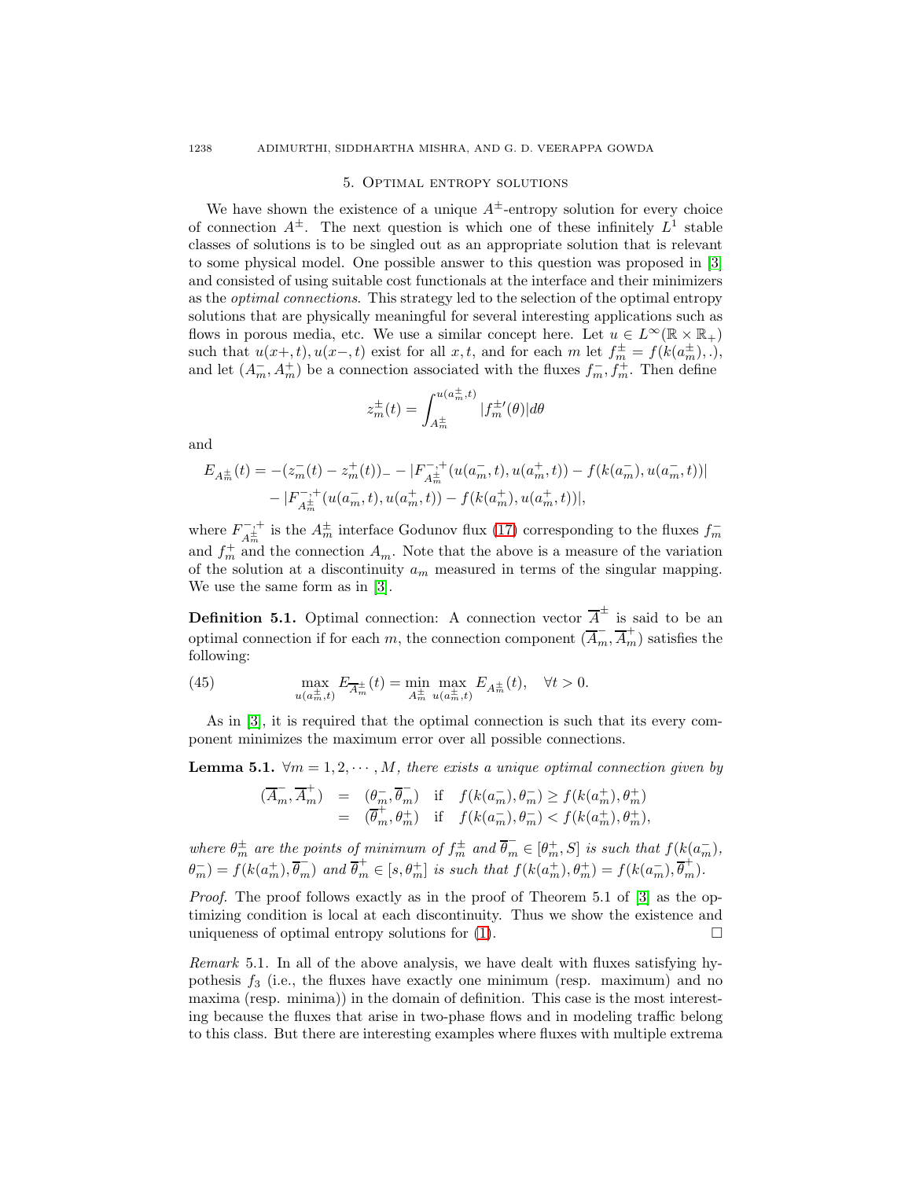#### 5. Optimal entropy solutions

We have shown the existence of a unique  $A^{\pm}$ -entropy solution for every choice of connection  $A^{\pm}$ . The next question is which one of these infinitely  $L^{1}$  stable classes of solutions is to be singled out as an appropriate solution that is relevant to some physical model. One possible answer to this question was proposed in [\[3\]](#page-22-8) and consisted of using suitable cost functionals at the interface and their minimizers as the optimal connections. This strategy led to the selection of the optimal entropy solutions that are physically meaningful for several interesting applications such as flows in porous media, etc. We use a similar concept here. Let  $u \in L^{\infty}(\mathbb{R} \times \mathbb{R}_{+})$ such that  $u(x+,t), u(x-,t)$  exist for all  $x, t$ , and for each  $m$  let  $f_m^{\pm} = f(k(a_m^{\pm}),.)$ , and let  $(A_m^-, A_m^+)$  be a connection associated with the fluxes  $f_m^-, f_m^+$ . Then define

$$
z_m^{\pm}(t) = \int_{A_m^{\pm}}^{u(a_m^{\pm},t)} |f_m^{\pm \prime}(\theta)| d\theta
$$

and

$$
E_{A_m^{\pm}}(t) = -(z_m^-(t) - z_m^+(t))_- - |F_{A_m^{\pm}}^{-,+}(u(a_m^-,t), u(a_m^+,t)) - f(k(a_m^-), u(a_m^-,t))| - |F_{A_m^{\pm}}^{-,+}(u(a_m^-,t), u(a_m^+,t)) - f(k(a_m^+), u(a_m^+,t))|,
$$

where  $F_{A_m^{\pm}}^{-,+}$  is the  $A_m^{\pm}$  interface Godunov flux [\(17\)](#page-7-0) corresponding to the fluxes  $f_m^$ and  $f_m^+$  and the connection  $A_m$ . Note that the above is a measure of the variation of the solution at a discontinuity  $a_m$  measured in terms of the singular mapping. We use the same form as in [\[3\]](#page-22-8).

**Definition 5.1.** Optimal connection: A connection vector  $\overline{A}^{\pm}$  is said to be an optimal connection if for each m, the connection component  $(\overline{A}_m, \overline{A}_m^+)$  satisfies the following:

(45) 
$$
\max_{u(a_m^{\pm}, t)} E_{\overline{A}_m^{\pm}}(t) = \min_{A_m^{\pm}} \max_{u(a_m^{\pm}, t)} E_{A_m^{\pm}}(t), \quad \forall t > 0.
$$

As in [\[3\]](#page-22-8), it is required that the optimal connection is such that its every component minimizes the maximum error over all possible connections.

**Lemma 5.1.**  $\forall m = 1, 2, \dots, M$ , there exists a unique optimal connection given by

$$
\begin{array}{rcl}\n(\overline{A}_m, \overline{A}_m^+) & = & (\theta_m^-, \overline{\theta}_m^-) \quad \text{if} \quad f(k(a_m^-), \theta_m^-) \ge f(k(a_m^+), \theta_m^+) \\
& = & (\overline{\theta}_m^+, \theta_m^+) \quad \text{if} \quad f(k(a_m^-), \theta_m^-) < f(k(a_m^+), \theta_m^+),\n\end{array}
$$

where  $\theta_m^{\pm}$  are the points of minimum of  $f_m^{\pm}$  and  $\overline{\theta}_m \in [\theta_m^+, S]$  is such that  $f(k(a_m^-),$  $\theta_{m}^{-}$ ) =  $f(k(a_{m}^{+}), \overline{\theta_{m}})$  and  $\overline{\theta_{m}^{+}} \in [s, \theta_{m}^{+}]$  is such that  $f(k(a_{m}^{+}), \theta_{m}^{+}) = f(k(a_{m}^{-}), \overline{\theta_{m}^{+}})$ .

Proof. The proof follows exactly as in the proof of Theorem 5.1 of [\[3\]](#page-22-8) as the optimizing condition is local at each discontinuity. Thus we show the existence and uniqueness of optimal entropy solutions for  $(1)$ .

Remark 5.1. In all of the above analysis, we have dealt with fluxes satisfying hypothesis  $f_3$  (i.e., the fluxes have exactly one minimum (resp. maximum) and no maxima (resp. minima)) in the domain of definition. This case is the most interesting because the fluxes that arise in two-phase flows and in modeling traffic belong to this class. But there are interesting examples where fluxes with multiple extrema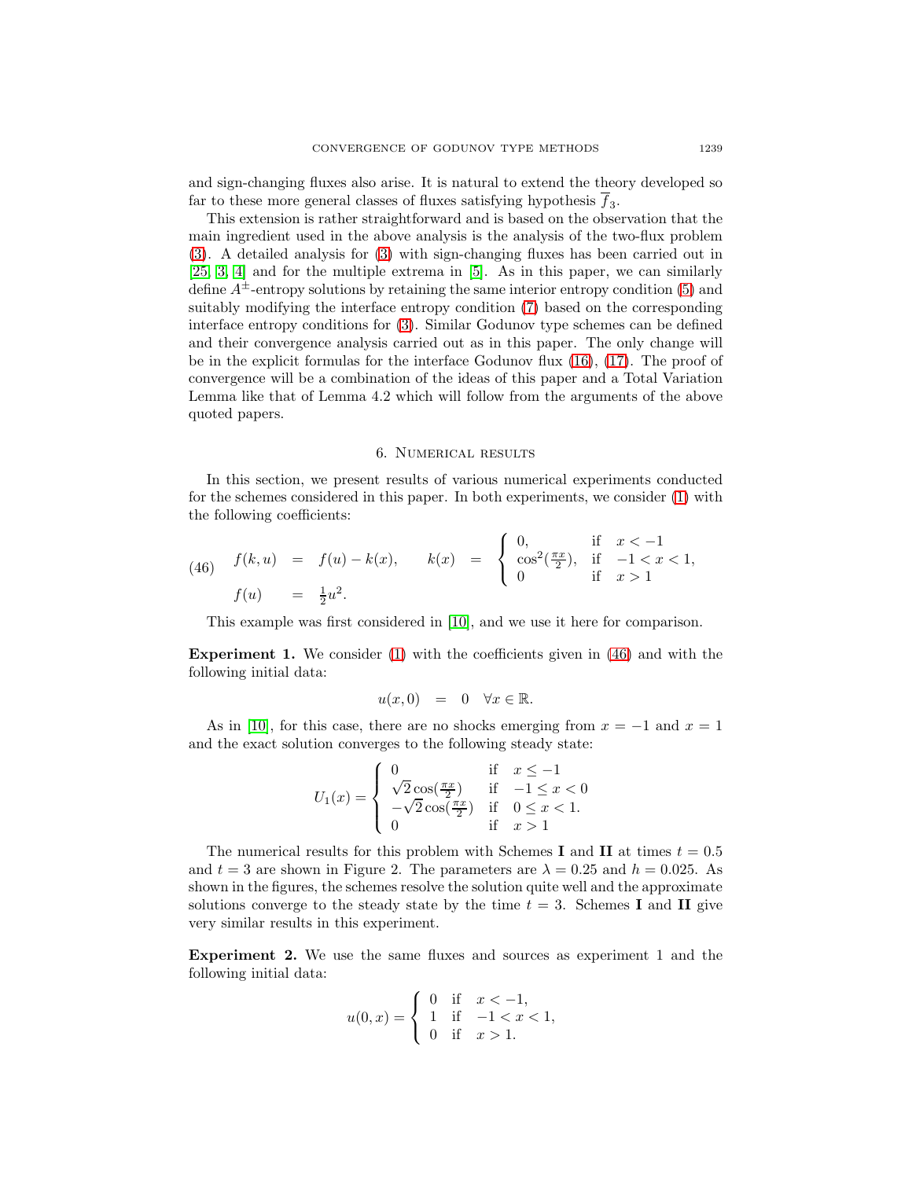and sign-changing fluxes also arise. It is natural to extend the theory developed so far to these more general classes of fluxes satisfying hypothesis  $\overline{f}_3$ .

This extension is rather straightforward and is based on the observation that the main ingredient used in the above analysis is the analysis of the two-flux problem [\(3\)](#page-1-1). A detailed analysis for [\(3\)](#page-1-1) with sign-changing fluxes has been carried out in [\[25,](#page-23-7) [3,](#page-22-8) [4\]](#page-22-9) and for the multiple extrema in [\[5\]](#page-22-10). As in this paper, we can similarly define  $A^{\pm}$ -entropy solutions by retaining the same interior entropy condition [\(5\)](#page-3-1) and suitably modifying the interface entropy condition [\(7\)](#page-4-1) based on the corresponding interface entropy conditions for [\(3\)](#page-1-1). Similar Godunov type schemes can be defined and their convergence analysis carried out as in this paper. The only change will be in the explicit formulas for the interface Godunov flux [\(16\)](#page-6-1), [\(17\)](#page-7-0). The proof of convergence will be a combination of the ideas of this paper and a Total Variation Lemma like that of Lemma 4.2 which will follow from the arguments of the above quoted papers.

#### 6. Numerical results

In this section, we present results of various numerical experiments conducted for the schemes considered in this paper. In both experiments, we consider [\(1\)](#page-0-0) with the following coefficients:

<span id="page-20-0"></span>(46) 
$$
f(k, u) = f(u) - k(x),
$$
  $k(x) = \begin{cases} 0, & \text{if } x < -1 \\ \cos^2(\frac{\pi x}{2}), & \text{if } -1 < x < 1, \\ 0 & \text{if } x > 1 \end{cases}$   
 $f(u) = \frac{1}{2}u^2.$ 

This example was first considered in [\[10\]](#page-22-11), and we use it here for comparison.

**Experiment 1.** We consider [\(1\)](#page-0-0) with the coefficients given in [\(46\)](#page-20-0) and with the following initial data:

$$
u(x,0) = 0 \quad \forall x \in \mathbb{R}.
$$

As in [\[10\]](#page-22-11), for this case, there are no shocks emerging from  $x = -1$  and  $x = 1$ and the exact solution converges to the following steady state:

$$
U_1(x) = \begin{cases} 0 & \text{if } x \le -1 \\ \sqrt{2}\cos(\frac{\pi x}{2}) & \text{if } -1 \le x < 0 \\ -\sqrt{2}\cos(\frac{\pi x}{2}) & \text{if } 0 \le x < 1. \\ 0 & \text{if } x > 1 \end{cases}
$$

The numerical results for this problem with Schemes **I** and **II** at times  $t = 0.5$ and  $t = 3$  are shown in Figure 2. The parameters are  $\lambda = 0.25$  and  $h = 0.025$ . As shown in the figures, the schemes resolve the solution quite well and the approximate solutions converge to the steady state by the time  $t = 3$ . Schemes **I** and **II** give very similar results in this experiment.

**Experiment 2.** We use the same fluxes and sources as experiment 1 and the following initial data:

$$
u(0,x) = \begin{cases} 0 & \text{if } x < -1, \\ 1 & \text{if } -1 < x < 1, \\ 0 & \text{if } x > 1. \end{cases}
$$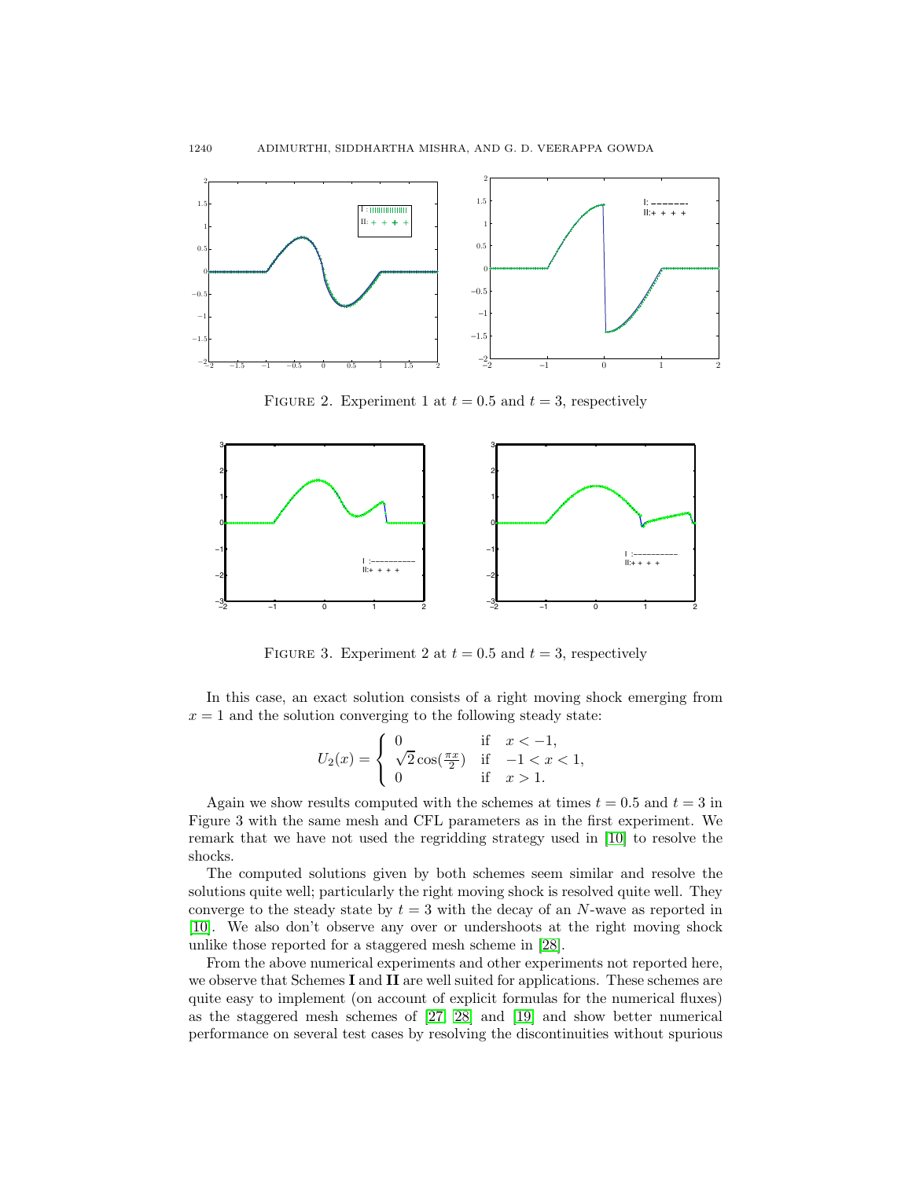

FIGURE 2. Experiment 1 at  $t = 0.5$  and  $t = 3$ , respectively



FIGURE 3. Experiment 2 at  $t = 0.5$  and  $t = 3$ , respectively

In this case, an exact solution consists of a right moving shock emerging from  $x = 1$  and the solution converging to the following steady state:

$$
U_2(x) = \begin{cases} 0 & \text{if } x < -1, \\ \sqrt{2}\cos(\frac{\pi x}{2}) & \text{if } -1 < x < 1, \\ 0 & \text{if } x > 1. \end{cases}
$$

Again we show results computed with the schemes at times  $t = 0.5$  and  $t = 3$  in Figure 3 with the same mesh and CFL parameters as in the first experiment. We remark that we have not used the regridding strategy used in [\[10\]](#page-22-11) to resolve the shocks.

The computed solutions given by both schemes seem similar and resolve the solutions quite well; particularly the right moving shock is resolved quite well. They converge to the steady state by  $t = 3$  with the decay of an N-wave as reported in [\[10\]](#page-22-11). We also don't observe any over or undershoots at the right moving shock unlike those reported for a staggered mesh scheme in [\[28\]](#page-23-9).

From the above numerical experiments and other experiments not reported here, we observe that Schemes **I** and **II** are well suited for applications. These schemes are quite easy to implement (on account of explicit formulas for the numerical fluxes) as the staggered mesh schemes of [\[27,](#page-23-8) [28\]](#page-23-9) and [\[19\]](#page-23-10) and show better numerical performance on several test cases by resolving the discontinuities without spurious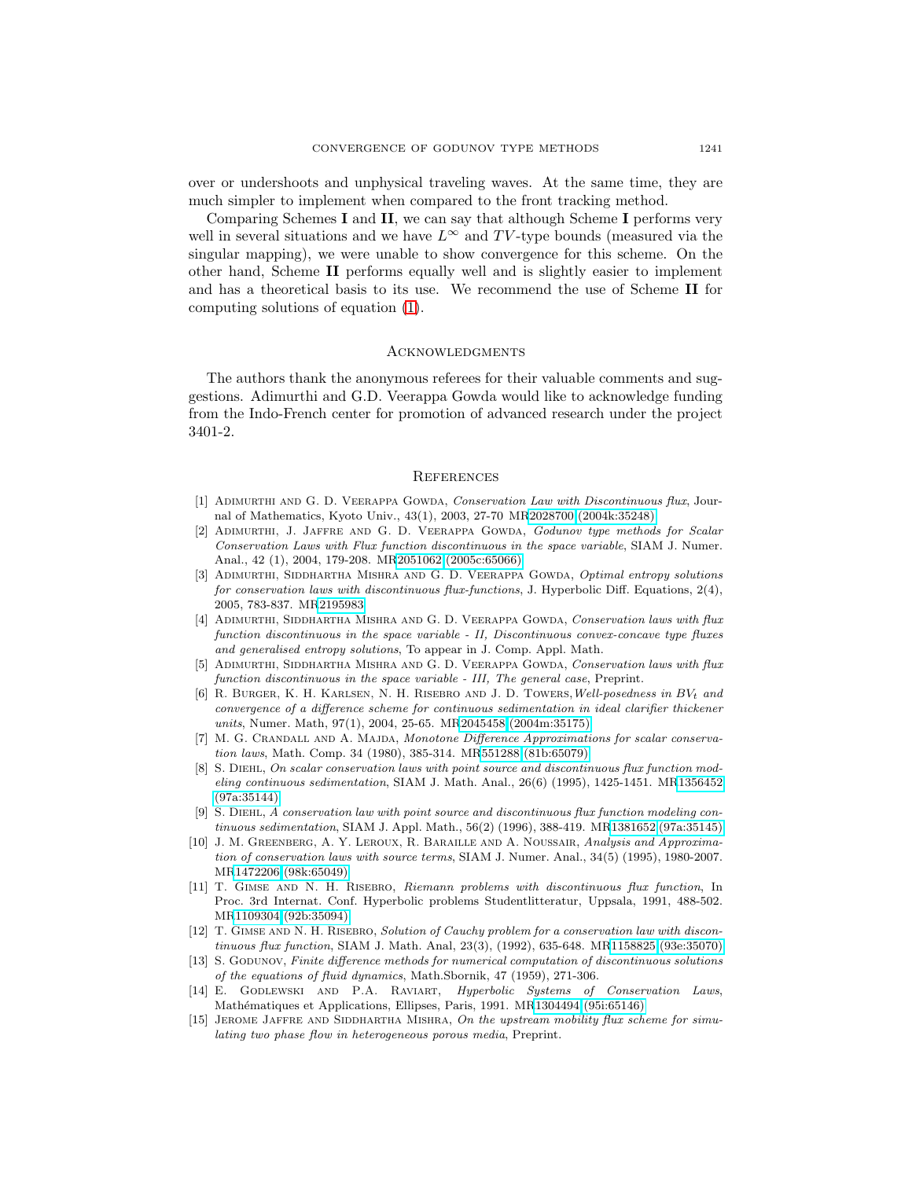over or undershoots and unphysical traveling waves. At the same time, they are much simpler to implement when compared to the front tracking method.

Comparing Schemes **I** and **II**, we can say that although Scheme **I** performs very well in several situations and we have  $L^{\infty}$  and TV-type bounds (measured via the singular mapping), we were unable to show convergence for this scheme. On the other hand, Scheme **II** performs equally well and is slightly easier to implement and has a theoretical basis to its use. We recommend the use of Scheme **II** for computing solutions of equation [\(1\)](#page-0-0).

## **ACKNOWLEDGMENTS**

The authors thank the anonymous referees for their valuable comments and suggestions. Adimurthi and G.D. Veerappa Gowda would like to acknowledge funding from the Indo-French center for promotion of advanced research under the project 3401-2.

## **REFERENCES**

- <span id="page-22-6"></span>[1] Adimurthi and G. D. Veerappa Gowda, Conservation Law with Discontinuous flux, Journal of Mathematics, Kyoto Univ., 43(1), 2003, 27-70 M[R2028700 \(2004k:35248\)](http://www.ams.org/mathscinet-getitem?mr=2028700)
- <span id="page-22-7"></span>[2] Adimurthi, J. Jaffre and G. D. Veerappa Gowda, Godunov type methods for Scalar Conservation Laws with Flux function discontinuous in the space variable, SIAM J. Numer. Anal., 42 (1), 2004, 179-208. M[R2051062 \(2005c:65066\)](http://www.ams.org/mathscinet-getitem?mr=2051062)
- <span id="page-22-8"></span>[3] ADIMURTHI, SIDDHARTHA MISHRA AND G. D. VEERAPPA GOWDA, Optimal entropy solutions for conservation laws with discontinuous flux-functions, J. Hyperbolic Diff. Equations, 2(4), 2005, 783-837. M[R2195983](http://www.ams.org/mathscinet-getitem?mr=2195983)
- <span id="page-22-9"></span>[4] ADIMURTHI, SIDDHARTHA MISHRA AND G. D. VEERAPPA GOWDA, Conservation laws with flux function discontinuous in the space variable - II, Discontinuous convex-concave type fluxes and generalised entropy solutions, To appear in J. Comp. Appl. Math.
- <span id="page-22-10"></span>[5] ADIMURTHI, SIDDHARTHA MISHRA AND G. D. VEERAPPA GOWDA, Conservation laws with flux function discontinuous in the space variable - III, The general case, Preprint.
- <span id="page-22-2"></span>[6] R. BURGER, K. H. KARLSEN, N. H. RISEBRO AND J. D. TOWERS, Well-posedness in  $BV_t$  and convergence of a difference scheme for continuous sedimentation in ideal clarifier thickener units, Numer. Math, 97(1), 2004, 25-65. M[R2045458 \(2004m:35175\)](http://www.ams.org/mathscinet-getitem?mr=2045458)
- <span id="page-22-13"></span>[7] M. G. Crandall and A. Majda, Monotone Difference Approximations for scalar conservation laws, Math. Comp. 34 (1980), 385-314. M[R551288 \(81b:65079\)](http://www.ams.org/mathscinet-getitem?mr=551288)
- <span id="page-22-4"></span>[8] S. Diehl, On scalar conservation laws with point source and discontinuous flux function modeling continuous sedimentation, SIAM J. Math. Anal., 26(6) (1995), 1425-1451. M[R1356452](http://www.ams.org/mathscinet-getitem?mr=1356452) [\(97a:35144\)](http://www.ams.org/mathscinet-getitem?mr=1356452)
- <span id="page-22-5"></span>[9] S. Diehl, A conservation law with point source and discontinuous flux function modeling continuous sedimentation, SIAM J. Appl. Math., 56(2) (1996), 388-419. M[R1381652 \(97a:35145\)](http://www.ams.org/mathscinet-getitem?mr=1381652)
- <span id="page-22-11"></span>[10] J. M. GREENBERG, A. Y. LEROUX, R. BARAILLE AND A. NOUSSAIR, Analysis and Approximation of conservation laws with source terms, SIAM J. Numer. Anal., 34(5) (1995), 1980-2007. M[R1472206 \(98k:65049\)](http://www.ams.org/mathscinet-getitem?mr=1472206)
- [11] T. Gimse and N. H. Risebro, Riemann problems with discontinuous flux function, In Proc. 3rd Internat. Conf. Hyperbolic problems Studentlitteratur, Uppsala, 1991, 488-502. M[R1109304 \(92b:35094\)](http://www.ams.org/mathscinet-getitem?mr=1109304)
- <span id="page-22-3"></span>[12] T. GIMSE AND N. H. RISEBRO, Solution of Cauchy problem for a conservation law with discontinuous flux function, SIAM J. Math. Anal, 23(3), (1992), 635-648. M[R1158825 \(93e:35070\)](http://www.ams.org/mathscinet-getitem?mr=1158825)
- <span id="page-22-12"></span>[13] S. GODUNOV, Finite difference methods for numerical computation of discontinuous solutions of the equations of fluid dynamics, Math.Sbornik, 47 (1959), 271-306.
- <span id="page-22-0"></span>[14] E. Godlewski and P.A. Raviart, Hyperbolic Systems of Conservation Laws, Mathématiques et Applications, Ellipses, Paris, 1991. M[R1304494 \(95i:65146\)](http://www.ams.org/mathscinet-getitem?mr=1304494)
- <span id="page-22-1"></span>[15] JEROME JAFFRE AND SIDDHARTHA MISHRA, On the upstream mobility flux scheme for simulating two phase flow in heterogeneous porous media, Preprint.